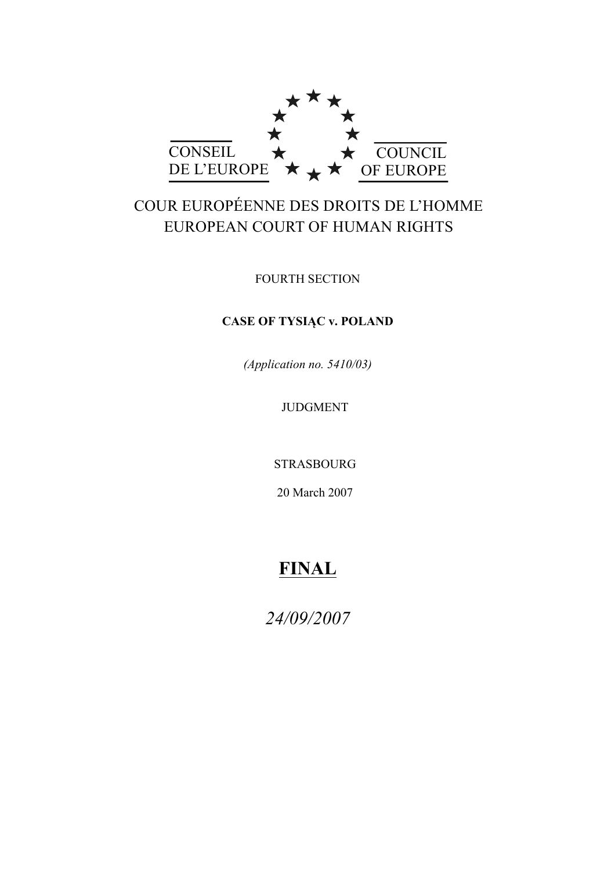

# COUR EUROPÉENNE DES DROITS DE L'HOMME EUROPEAN COURT OF HUMAN RIGHTS

FOURTH SECTION

# **CASE OF TYSIĄC v. POLAND**

*(Application no. 5410/03)*

JUDGMENT

STRASBOURG

20 March 2007

# **FINAL**

*24/09/2007*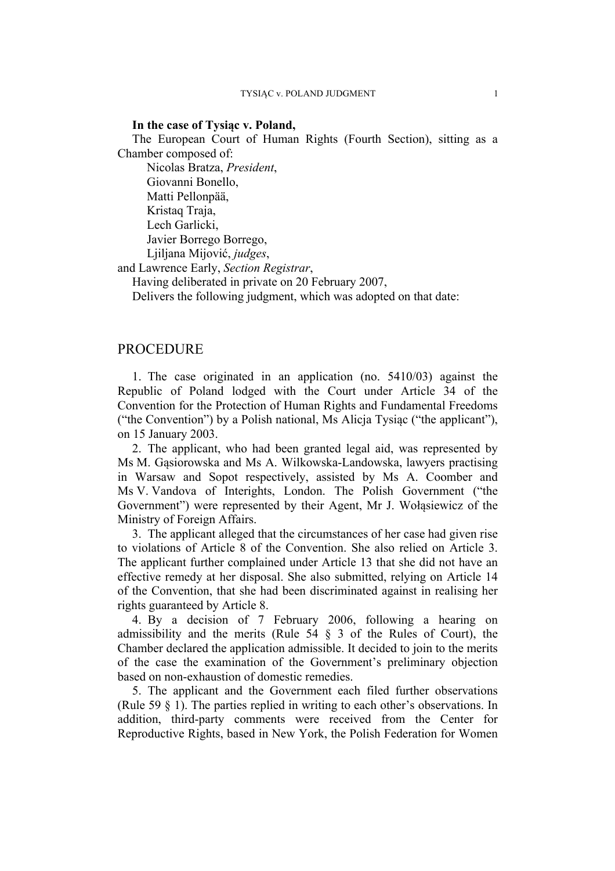#### **In the case of Tysiąc v. Poland,**

The European Court of Human Rights (Fourth Section), sitting as a Chamber composed of:

Nicolas Bratza, *President*, Giovanni Bonello, Matti Pellonpää, Kristaq Traja, Lech Garlicki, Javier Borrego Borrego, Ljiljana Mijović, *judges*,

and Lawrence Early, *Section Registrar*,

Having deliberated in private on 20 February 2007,

Delivers the following judgment, which was adopted on that date:

## PROCEDURE

1. The case originated in an application (no. 5410/03) against the Republic of Poland lodged with the Court under Article 34 of the Convention for the Protection of Human Rights and Fundamental Freedoms ("the Convention") by a Polish national, Ms Alicja Tysiąc ("the applicant"), on 15 January 2003.

2. The applicant, who had been granted legal aid, was represented by Ms M. Gąsiorowska and Ms A. Wilkowska-Landowska, lawyers practising in Warsaw and Sopot respectively, assisted by Ms A. Coomber and Ms V. Vandova of Interights, London. The Polish Government ("the Government") were represented by their Agent, Mr J. Wołąsiewicz of the Ministry of Foreign Affairs.

3. The applicant alleged that the circumstances of her case had given rise to violations of Article 8 of the Convention. She also relied on Article 3. The applicant further complained under Article 13 that she did not have an effective remedy at her disposal. She also submitted, relying on Article 14 of the Convention, that she had been discriminated against in realising her rights guaranteed by Article 8.

4. By a decision of 7 February 2006, following a hearing on admissibility and the merits (Rule  $54 \S 3$  of the Rules of Court), the Chamber declared the application admissible. It decided to join to the merits of the case the examination of the Government's preliminary objection based on non-exhaustion of domestic remedies.

5. The applicant and the Government each filed further observations (Rule 59 § 1). The parties replied in writing to each other's observations. In addition, third-party comments were received from the Center for Reproductive Rights, based in New York, the Polish Federation for Women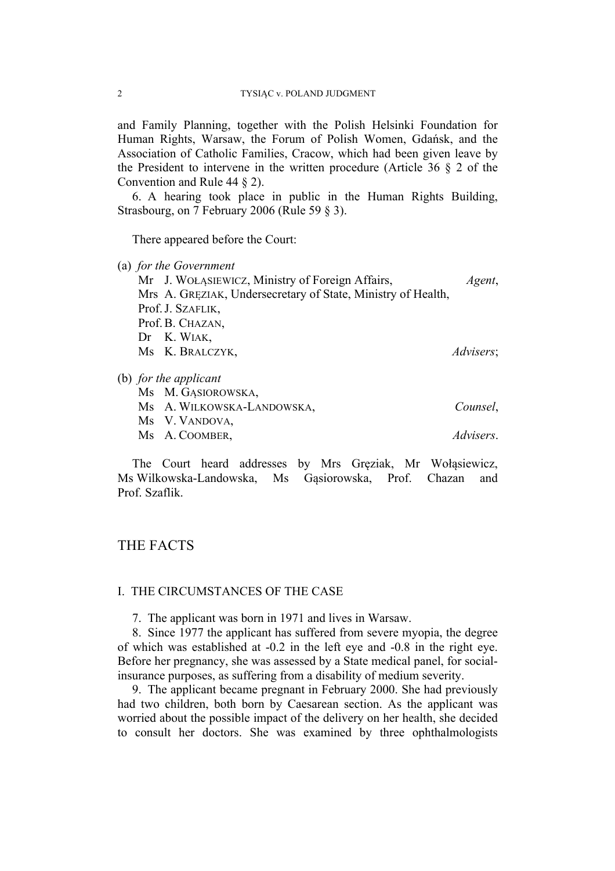and Family Planning, together with the Polish Helsinki Foundation for Human Rights, Warsaw, the Forum of Polish Women, Gdańsk, and the Association of Catholic Families, Cracow, which had been given leave by the President to intervene in the written procedure (Article  $36 \& 2$  of the Convention and Rule 44 § 2).

6. A hearing took place in public in the Human Rights Building, Strasbourg, on 7 February 2006 (Rule 59 § 3).

There appeared before the Court:

(a) *for the Government*

| Mr J. WOŁĄSIEWICZ, Ministry of Foreign Affairs,              | Agent,            |
|--------------------------------------------------------------|-------------------|
| Mrs A. GREZIAK, Undersecretary of State, Ministry of Health, |                   |
| Prof. J. SZAFLIK,                                            |                   |
| Prof. B. CHAZAN,                                             |                   |
| $Dr$ K. WIAK,                                                |                   |
| Ms K. BRALCZYK,                                              | <i>Advisers</i> ; |
|                                                              |                   |
| for the applicant                                            |                   |

(b) *for the applicant*

| Ms A. WILKOWSKA-LANDOWSKA, | Counsel,  |
|----------------------------|-----------|
| Ms V. VANDOVA,             |           |
| Ms A. COOMBER,             | Advisers. |

The Court heard addresses by Mrs Gręziak, Mr Wołąsiewicz, Ms Wilkowska-Landowska, Ms Gąsiorowska, Prof. Chazan and Prof. Szaflik.

# THE FACTS

#### I. THE CIRCUMSTANCES OF THE CASE

7. The applicant was born in 1971 and lives in Warsaw.

8. Since 1977 the applicant has suffered from severe myopia, the degree of which was established at -0.2 in the left eye and -0.8 in the right eye. Before her pregnancy, she was assessed by a State medical panel, for socialinsurance purposes, as suffering from a disability of medium severity.

9. The applicant became pregnant in February 2000. She had previously had two children, both born by Caesarean section. As the applicant was worried about the possible impact of the delivery on her health, she decided to consult her doctors. She was examined by three ophthalmologists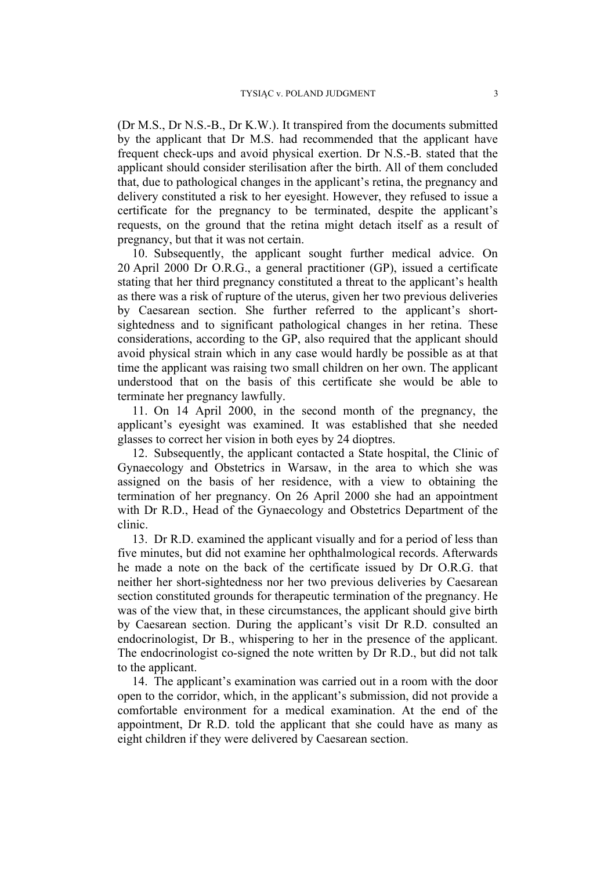(Dr M.S., Dr N.S.-B., Dr K.W.). It transpired from the documents submitted by the applicant that Dr M.S. had recommended that the applicant have frequent check-ups and avoid physical exertion. Dr N.S.-B. stated that the applicant should consider sterilisation after the birth. All of them concluded that, due to pathological changes in the applicant's retina, the pregnancy and delivery constituted a risk to her eyesight. However, they refused to issue a certificate for the pregnancy to be terminated, despite the applicant's requests, on the ground that the retina might detach itself as a result of pregnancy, but that it was not certain.

10. Subsequently, the applicant sought further medical advice. On 20 April 2000 Dr O.R.G., a general practitioner (GP), issued a certificate stating that her third pregnancy constituted a threat to the applicant's health as there was a risk of rupture of the uterus, given her two previous deliveries by Caesarean section. She further referred to the applicant's shortsightedness and to significant pathological changes in her retina. These considerations, according to the GP, also required that the applicant should avoid physical strain which in any case would hardly be possible as at that time the applicant was raising two small children on her own. The applicant understood that on the basis of this certificate she would be able to terminate her pregnancy lawfully.

11. On 14 April 2000, in the second month of the pregnancy, the applicant's eyesight was examined. It was established that she needed glasses to correct her vision in both eyes by 24 dioptres.

12. Subsequently, the applicant contacted a State hospital, the Clinic of Gynaecology and Obstetrics in Warsaw, in the area to which she was assigned on the basis of her residence, with a view to obtaining the termination of her pregnancy. On 26 April 2000 she had an appointment with Dr R.D., Head of the Gynaecology and Obstetrics Department of the clinic.

13. Dr R.D. examined the applicant visually and for a period of less than five minutes, but did not examine her ophthalmological records. Afterwards he made a note on the back of the certificate issued by Dr O.R.G. that neither her short-sightedness nor her two previous deliveries by Caesarean section constituted grounds for therapeutic termination of the pregnancy. He was of the view that, in these circumstances, the applicant should give birth by Caesarean section. During the applicant's visit Dr R.D. consulted an endocrinologist, Dr B., whispering to her in the presence of the applicant. The endocrinologist co-signed the note written by Dr R.D., but did not talk to the applicant.

14. The applicant's examination was carried out in a room with the door open to the corridor, which, in the applicant's submission, did not provide a comfortable environment for a medical examination. At the end of the appointment, Dr R.D. told the applicant that she could have as many as eight children if they were delivered by Caesarean section.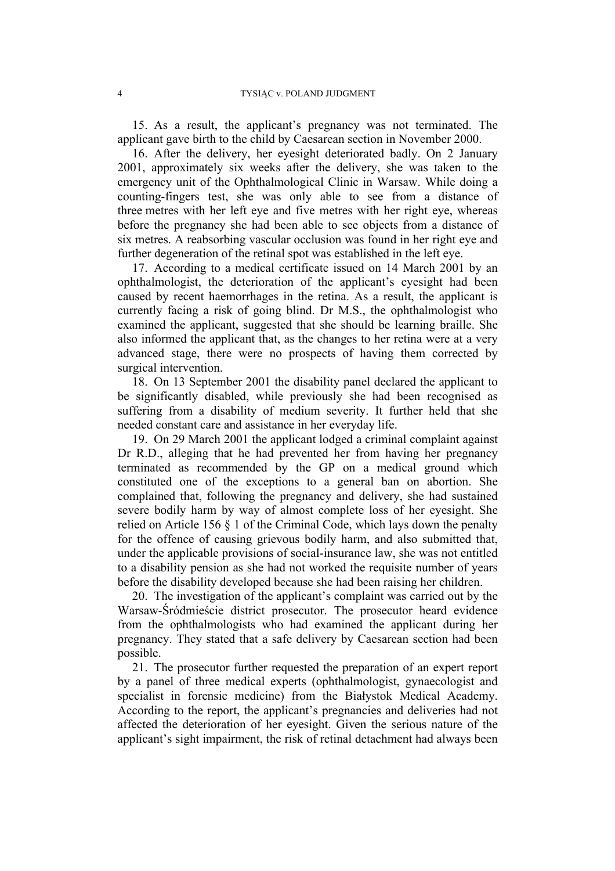15. As a result, the applicant's pregnancy was not terminated. The applicant gave birth to the child by Caesarean section in November 2000.

16. After the delivery, her eyesight deteriorated badly. On 2 January 2001, approximately six weeks after the delivery, she was taken to the emergency unit of the Ophthalmological Clinic in Warsaw. While doing a counting-fingers test, she was only able to see from a distance of three metres with her left eye and five metres with her right eye, whereas before the pregnancy she had been able to see objects from a distance of six metres. A reabsorbing vascular occlusion was found in her right eye and further degeneration of the retinal spot was established in the left eye.

17. According to a medical certificate issued on 14 March 2001 by an ophthalmologist, the deterioration of the applicant's eyesight had been caused by recent haemorrhages in the retina. As a result, the applicant is currently facing a risk of going blind. Dr M.S., the ophthalmologist who examined the applicant, suggested that she should be learning braille. She also informed the applicant that, as the changes to her retina were at a very advanced stage, there were no prospects of having them corrected by surgical intervention.

18. On 13 September 2001 the disability panel declared the applicant to be significantly disabled, while previously she had been recognised as suffering from a disability of medium severity. It further held that she needed constant care and assistance in her everyday life.

19. On 29 March 2001 the applicant lodged a criminal complaint against Dr R.D., alleging that he had prevented her from having her pregnancy terminated as recommended by the GP on a medical ground which constituted one of the exceptions to a general ban on abortion. She complained that, following the pregnancy and delivery, she had sustained severe bodily harm by way of almost complete loss of her eyesight. She relied on Article 156 § 1 of the Criminal Code, which lays down the penalty for the offence of causing grievous bodily harm, and also submitted that, under the applicable provisions of social-insurance law, she was not entitled to a disability pension as she had not worked the requisite number of years before the disability developed because she had been raising her children.

20. The investigation of the applicant's complaint was carried out by the Warsaw-Śródmieście district prosecutor. The prosecutor heard evidence from the ophthalmologists who had examined the applicant during her pregnancy. They stated that a safe delivery by Caesarean section had been possible.

21. The prosecutor further requested the preparation of an expert report by a panel of three medical experts (ophthalmologist, gynaecologist and specialist in forensic medicine) from the Białystok Medical Academy. According to the report, the applicant's pregnancies and deliveries had not affected the deterioration of her eyesight. Given the serious nature of the applicant's sight impairment, the risk of retinal detachment had always been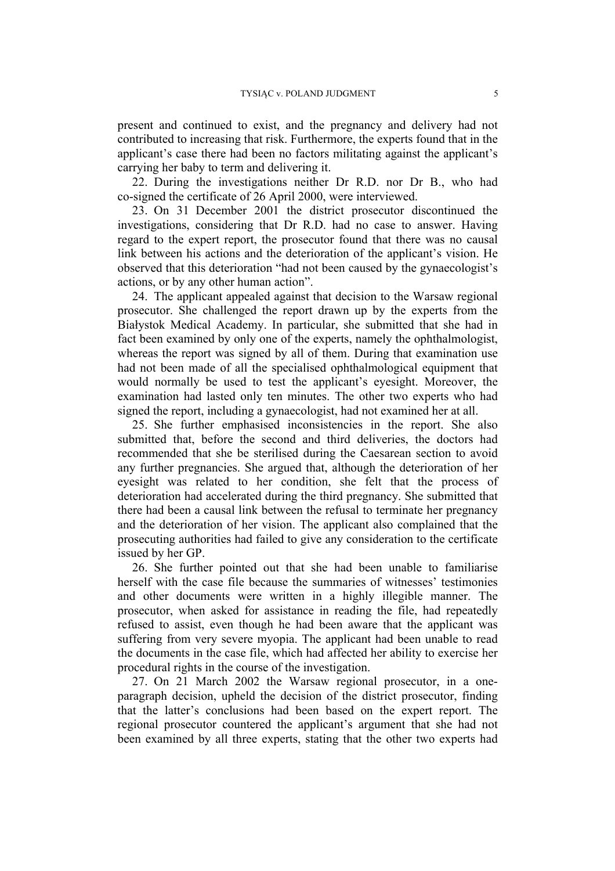present and continued to exist, and the pregnancy and delivery had not contributed to increasing that risk. Furthermore, the experts found that in the applicant's case there had been no factors militating against the applicant's carrying her baby to term and delivering it.

22. During the investigations neither Dr R.D. nor Dr B., who had co-signed the certificate of 26 April 2000, were interviewed.

23. On 31 December 2001 the district prosecutor discontinued the investigations, considering that Dr R.D. had no case to answer. Having regard to the expert report, the prosecutor found that there was no causal link between his actions and the deterioration of the applicant's vision. He observed that this deterioration "had not been caused by the gynaecologist's actions, or by any other human action".

24. The applicant appealed against that decision to the Warsaw regional prosecutor. She challenged the report drawn up by the experts from the Białystok Medical Academy. In particular, she submitted that she had in fact been examined by only one of the experts, namely the ophthalmologist, whereas the report was signed by all of them. During that examination use had not been made of all the specialised ophthalmological equipment that would normally be used to test the applicant's eyesight. Moreover, the examination had lasted only ten minutes. The other two experts who had signed the report, including a gynaecologist, had not examined her at all.

25. She further emphasised inconsistencies in the report. She also submitted that, before the second and third deliveries, the doctors had recommended that she be sterilised during the Caesarean section to avoid any further pregnancies. She argued that, although the deterioration of her eyesight was related to her condition, she felt that the process of deterioration had accelerated during the third pregnancy. She submitted that there had been a causal link between the refusal to terminate her pregnancy and the deterioration of her vision. The applicant also complained that the prosecuting authorities had failed to give any consideration to the certificate issued by her GP.

26. She further pointed out that she had been unable to familiarise herself with the case file because the summaries of witnesses' testimonies and other documents were written in a highly illegible manner. The prosecutor, when asked for assistance in reading the file, had repeatedly refused to assist, even though he had been aware that the applicant was suffering from very severe myopia. The applicant had been unable to read the documents in the case file, which had affected her ability to exercise her procedural rights in the course of the investigation.

27. On 21 March 2002 the Warsaw regional prosecutor, in a oneparagraph decision, upheld the decision of the district prosecutor, finding that the latter's conclusions had been based on the expert report. The regional prosecutor countered the applicant's argument that she had not been examined by all three experts, stating that the other two experts had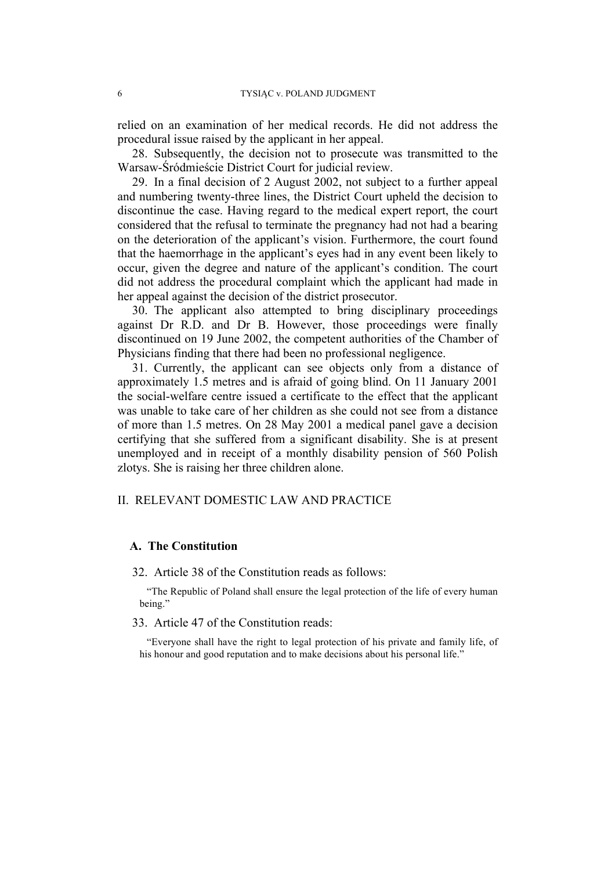relied on an examination of her medical records. He did not address the procedural issue raised by the applicant in her appeal.

28. Subsequently, the decision not to prosecute was transmitted to the Warsaw-Śródmieście District Court for judicial review.

29. In a final decision of 2 August 2002, not subject to a further appeal and numbering twenty-three lines, the District Court upheld the decision to discontinue the case. Having regard to the medical expert report, the court considered that the refusal to terminate the pregnancy had not had a bearing on the deterioration of the applicant's vision. Furthermore, the court found that the haemorrhage in the applicant's eyes had in any event been likely to occur, given the degree and nature of the applicant's condition. The court did not address the procedural complaint which the applicant had made in her appeal against the decision of the district prosecutor.

30. The applicant also attempted to bring disciplinary proceedings against Dr R.D. and Dr B. However, those proceedings were finally discontinued on 19 June 2002, the competent authorities of the Chamber of Physicians finding that there had been no professional negligence.

31. Currently, the applicant can see objects only from a distance of approximately 1.5 metres and is afraid of going blind. On 11 January 2001 the social-welfare centre issued a certificate to the effect that the applicant was unable to take care of her children as she could not see from a distance of more than 1.5 metres. On 28 May 2001 a medical panel gave a decision certifying that she suffered from a significant disability. She is at present unemployed and in receipt of a monthly disability pension of 560 Polish zlotys. She is raising her three children alone.

## II. RELEVANT DOMESTIC LAW AND PRACTICE

#### **A. The Constitution**

32. Article 38 of the Constitution reads as follows:

"The Republic of Poland shall ensure the legal protection of the life of every human being."

## 33. Article 47 of the Constitution reads:

"Everyone shall have the right to legal protection of his private and family life, of his honour and good reputation and to make decisions about his personal life."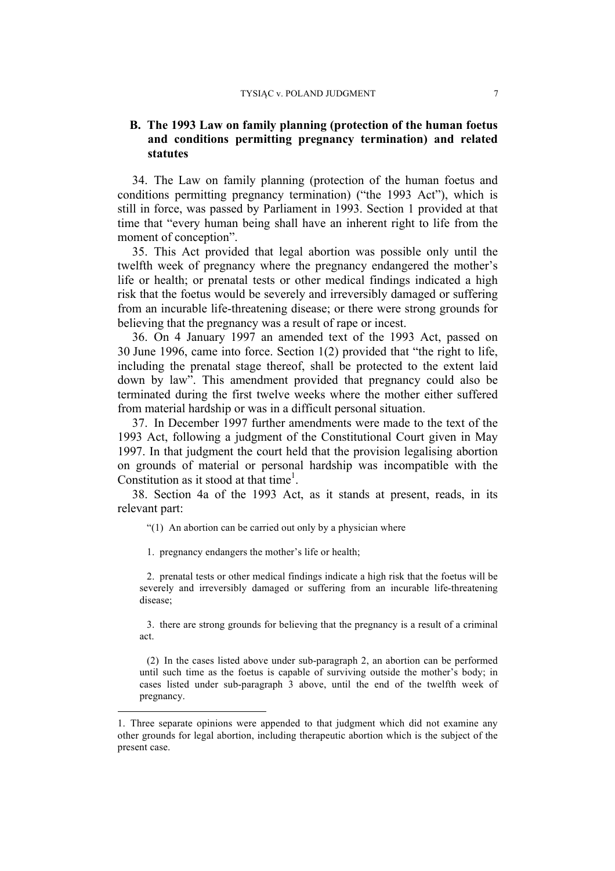# **B. The 1993 Law on family planning (protection of the human foetus and conditions permitting pregnancy termination) and related statutes**

34. The Law on family planning (protection of the human foetus and conditions permitting pregnancy termination) ("the 1993 Act"), which is still in force, was passed by Parliament in 1993. Section 1 provided at that time that "every human being shall have an inherent right to life from the moment of conception".

35. This Act provided that legal abortion was possible only until the twelfth week of pregnancy where the pregnancy endangered the mother's life or health; or prenatal tests or other medical findings indicated a high risk that the foetus would be severely and irreversibly damaged or suffering from an incurable life-threatening disease; or there were strong grounds for believing that the pregnancy was a result of rape or incest.

36. On 4 January 1997 an amended text of the 1993 Act, passed on 30 June 1996, came into force. Section 1(2) provided that "the right to life, including the prenatal stage thereof, shall be protected to the extent laid down by law". This amendment provided that pregnancy could also be terminated during the first twelve weeks where the mother either suffered from material hardship or was in a difficult personal situation.

37. In December 1997 further amendments were made to the text of the 1993 Act, following a judgment of the Constitutional Court given in May 1997. In that judgment the court held that the provision legalising abortion on grounds of material or personal hardship was incompatible with the Constitution as it stood at that time<sup>1</sup>.

38. Section 4a of the 1993 Act, as it stands at present, reads, in its relevant part:

"(1) An abortion can be carried out only by a physician where

1. pregnancy endangers the mother's life or health;

2. prenatal tests or other medical findings indicate a high risk that the foetus will be severely and irreversibly damaged or suffering from an incurable life-threatening disease;

3. there are strong grounds for believing that the pregnancy is a result of a criminal act.

(2) In the cases listed above under sub-paragraph 2, an abortion can be performed until such time as the foetus is capable of surviving outside the mother's body; in cases listed under sub-paragraph 3 above, until the end of the twelfth week of pregnancy.

 <sup>1.</sup> Three separate opinions were appended to that judgment which did not examine any other grounds for legal abortion, including therapeutic abortion which is the subject of the present case.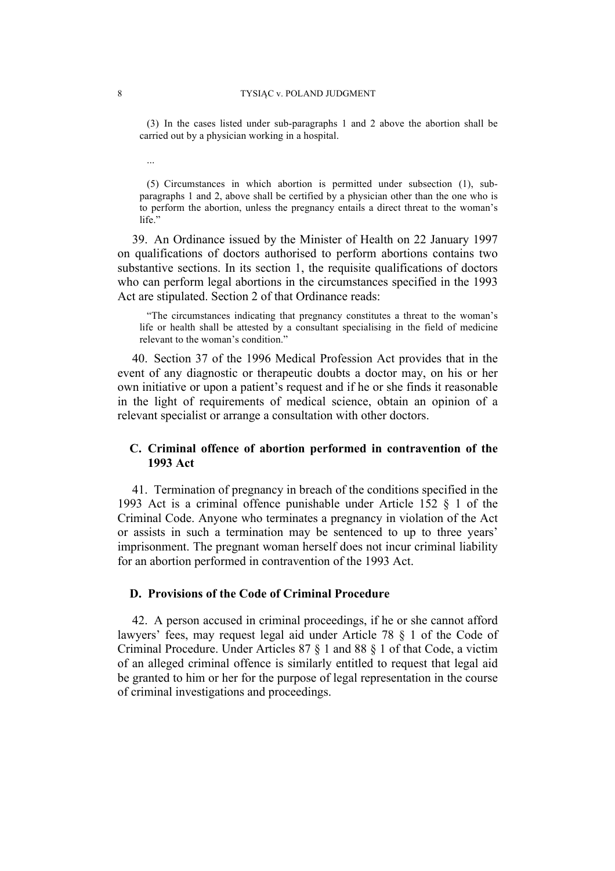(3) In the cases listed under sub-paragraphs 1 and 2 above the abortion shall be carried out by a physician working in a hospital.

(5) Circumstances in which abortion is permitted under subsection (1), subparagraphs 1 and 2, above shall be certified by a physician other than the one who is to perform the abortion, unless the pregnancy entails a direct threat to the woman's life."

39. An Ordinance issued by the Minister of Health on 22 January 1997 on qualifications of doctors authorised to perform abortions contains two substantive sections. In its section 1, the requisite qualifications of doctors who can perform legal abortions in the circumstances specified in the 1993 Act are stipulated. Section 2 of that Ordinance reads:

"The circumstances indicating that pregnancy constitutes a threat to the woman's life or health shall be attested by a consultant specialising in the field of medicine relevant to the woman's condition."

40. Section 37 of the 1996 Medical Profession Act provides that in the event of any diagnostic or therapeutic doubts a doctor may, on his or her own initiative or upon a patient's request and if he or she finds it reasonable in the light of requirements of medical science, obtain an opinion of a relevant specialist or arrange a consultation with other doctors.

# **C. Criminal offence of abortion performed in contravention of the 1993 Act**

41. Termination of pregnancy in breach of the conditions specified in the 1993 Act is a criminal offence punishable under Article 152 § 1 of the Criminal Code. Anyone who terminates a pregnancy in violation of the Act or assists in such a termination may be sentenced to up to three years' imprisonment. The pregnant woman herself does not incur criminal liability for an abortion performed in contravention of the 1993 Act.

# **D. Provisions of the Code of Criminal Procedure**

42. A person accused in criminal proceedings, if he or she cannot afford lawyers' fees, may request legal aid under Article 78 § 1 of the Code of Criminal Procedure. Under Articles 87 § 1 and 88 § 1 of that Code, a victim of an alleged criminal offence is similarly entitled to request that legal aid be granted to him or her for the purpose of legal representation in the course of criminal investigations and proceedings.

...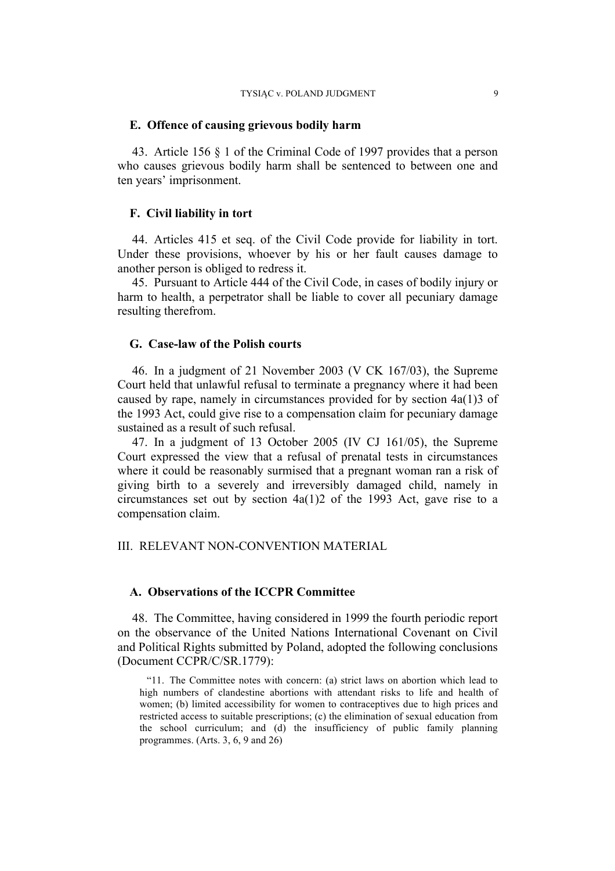#### **E. Offence of causing grievous bodily harm**

43. Article 156 § 1 of the Criminal Code of 1997 provides that a person who causes grievous bodily harm shall be sentenced to between one and ten years' imprisonment.

## **F. Civil liability in tort**

44. Articles 415 et seq. of the Civil Code provide for liability in tort. Under these provisions, whoever by his or her fault causes damage to another person is obliged to redress it.

45. Pursuant to Article 444 of the Civil Code, in cases of bodily injury or harm to health, a perpetrator shall be liable to cover all pecuniary damage resulting therefrom.

## **G. Case-law of the Polish courts**

46. In a judgment of 21 November 2003 (V CK 167/03), the Supreme Court held that unlawful refusal to terminate a pregnancy where it had been caused by rape, namely in circumstances provided for by section 4a(1)3 of the 1993 Act, could give rise to a compensation claim for pecuniary damage sustained as a result of such refusal.

47. In a judgment of 13 October 2005 (IV CJ 161/05), the Supreme Court expressed the view that a refusal of prenatal tests in circumstances where it could be reasonably surmised that a pregnant woman ran a risk of giving birth to a severely and irreversibly damaged child, namely in circumstances set out by section 4a(1)2 of the 1993 Act, gave rise to a compensation claim.

#### III. RELEVANT NON-CONVENTION MATERIAL

#### **A. Observations of the ICCPR Committee**

48. The Committee, having considered in 1999 the fourth periodic report on the observance of the United Nations International Covenant on Civil and Political Rights submitted by Poland, adopted the following conclusions (Document CCPR/C/SR.1779):

"11. The Committee notes with concern: (a) strict laws on abortion which lead to high numbers of clandestine abortions with attendant risks to life and health of women; (b) limited accessibility for women to contraceptives due to high prices and restricted access to suitable prescriptions; (c) the elimination of sexual education from the school curriculum; and (d) the insufficiency of public family planning programmes. (Arts. 3, 6, 9 and 26)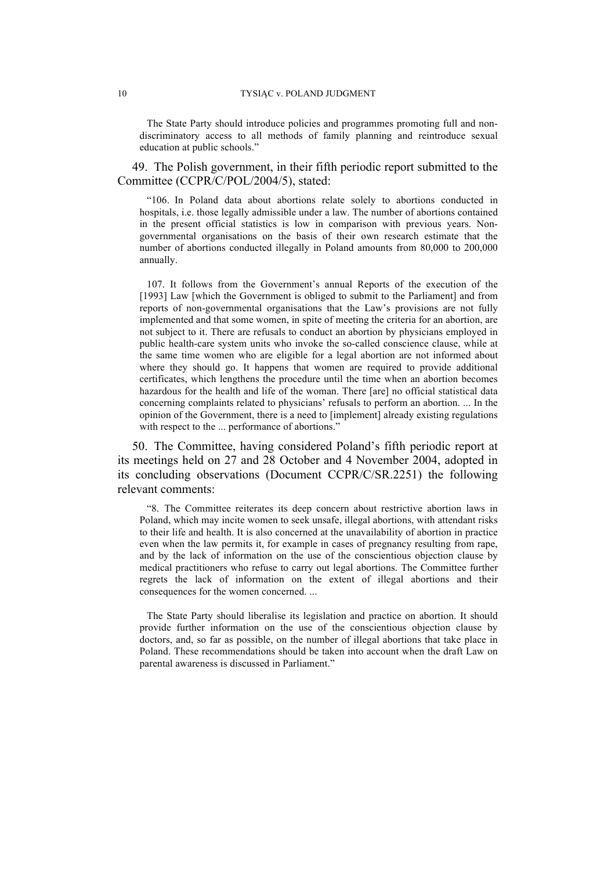The State Party should introduce policies and programmes promoting full and nondiscriminatory access to all methods of family planning and reintroduce sexual education at public schools."

49. The Polish government, in their fifth periodic report submitted to the Committee (CCPR/C/POL/2004/5), stated:

"106. In Poland data about abortions relate solely to abortions conducted in hospitals, i.e. those legally admissible under a law. The number of abortions contained in the present official statistics is low in comparison with previous years. Nongovernmental organisations on the basis of their own research estimate that the number of abortions conducted illegally in Poland amounts from 80,000 to 200,000 annually.

107. It follows from the Government's annual Reports of the execution of the [1993] Law [which the Government is obliged to submit to the Parliament] and from reports of non-governmental organisations that the Law's provisions are not fully implemented and that some women, in spite of meeting the criteria for an abortion, are not subject to it. There are refusals to conduct an abortion by physicians employed in public health-care system units who invoke the so-called conscience clause, while at the same time women who are eligible for a legal abortion are not informed about where they should go. It happens that women are required to provide additional certificates, which lengthens the procedure until the time when an abortion becomes hazardous for the health and life of the woman. There [are] no official statistical data concerning complaints related to physicians' refusals to perform an abortion. ... In the opinion of the Government, there is a need to [implement] already existing regulations with respect to the ... performance of abortions."

50. The Committee, having considered Poland's fifth periodic report at its meetings held on 27 and 28 October and 4 November 2004, adopted in its concluding observations (Document CCPR/C/SR.2251) the following relevant comments:

"8. The Committee reiterates its deep concern about restrictive abortion laws in Poland, which may incite women to seek unsafe, illegal abortions, with attendant risks to their life and health. It is also concerned at the unavailability of abortion in practice even when the law permits it, for example in cases of pregnancy resulting from rape, and by the lack of information on the use of the conscientious objection clause by medical practitioners who refuse to carry out legal abortions. The Committee further regrets the lack of information on the extent of illegal abortions and their consequences for the women concerned. ...

The State Party should liberalise its legislation and practice on abortion. It should provide further information on the use of the conscientious objection clause by doctors, and, so far as possible, on the number of illegal abortions that take place in Poland. These recommendations should be taken into account when the draft Law on parental awareness is discussed in Parliament."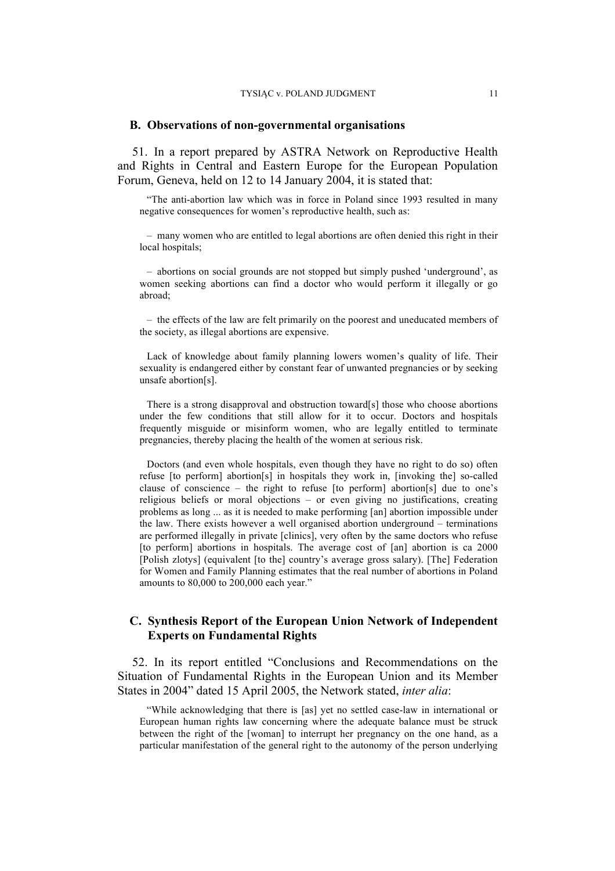#### **B. Observations of non-governmental organisations**

51. In a report prepared by ASTRA Network on Reproductive Health and Rights in Central and Eastern Europe for the European Population Forum, Geneva, held on 12 to 14 January 2004, it is stated that:

"The anti-abortion law which was in force in Poland since 1993 resulted in many negative consequences for women's reproductive health, such as:

– many women who are entitled to legal abortions are often denied this right in their local hospitals:

– abortions on social grounds are not stopped but simply pushed 'underground', as women seeking abortions can find a doctor who would perform it illegally or go abroad;

– the effects of the law are felt primarily on the poorest and uneducated members of the society, as illegal abortions are expensive.

Lack of knowledge about family planning lowers women's quality of life. Their sexuality is endangered either by constant fear of unwanted pregnancies or by seeking unsafe abortion[s].

There is a strong disapproval and obstruction toward[s] those who choose abortions under the few conditions that still allow for it to occur. Doctors and hospitals frequently misguide or misinform women, who are legally entitled to terminate pregnancies, thereby placing the health of the women at serious risk.

Doctors (and even whole hospitals, even though they have no right to do so) often refuse [to perform] abortion[s] in hospitals they work in, [invoking the] so-called clause of conscience – the right to refuse [to perform] abortion[s] due to one's religious beliefs or moral objections – or even giving no justifications, creating problems as long ... as it is needed to make performing [an] abortion impossible under the law. There exists however a well organised abortion underground – terminations are performed illegally in private [clinics], very often by the same doctors who refuse [to perform] abortions in hospitals. The average cost of [an] abortion is ca 2000 [Polish zlotys] (equivalent [to the] country's average gross salary). [The] Federation for Women and Family Planning estimates that the real number of abortions in Poland amounts to 80,000 to 200,000 each year."

# **C. Synthesis Report of the European Union Network of Independent Experts on Fundamental Rights**

52. In its report entitled "Conclusions and Recommendations on the Situation of Fundamental Rights in the European Union and its Member States in 2004" dated 15 April 2005, the Network stated, *inter alia*:

"While acknowledging that there is [as] yet no settled case-law in international or European human rights law concerning where the adequate balance must be struck between the right of the [woman] to interrupt her pregnancy on the one hand, as a particular manifestation of the general right to the autonomy of the person underlying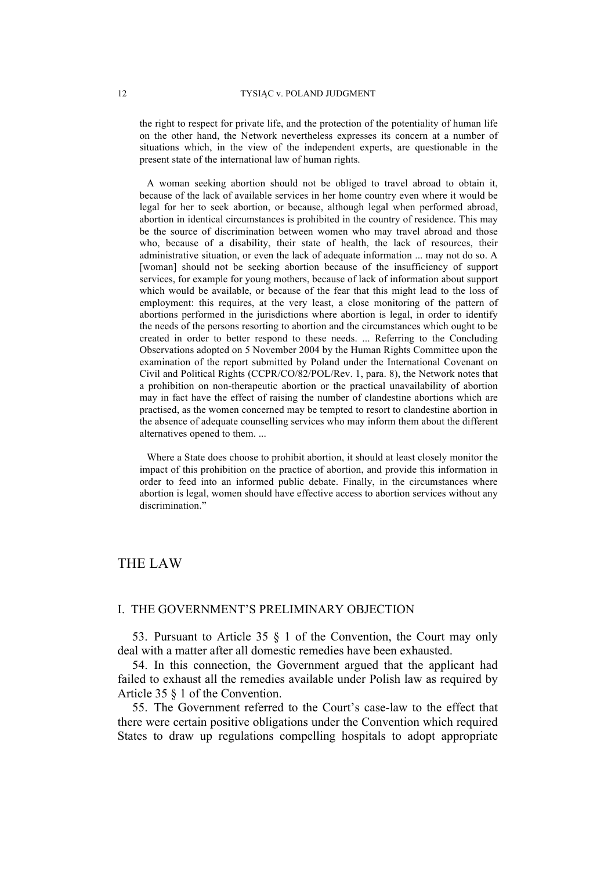the right to respect for private life, and the protection of the potentiality of human life on the other hand, the Network nevertheless expresses its concern at a number of situations which, in the view of the independent experts, are questionable in the present state of the international law of human rights.

A woman seeking abortion should not be obliged to travel abroad to obtain it, because of the lack of available services in her home country even where it would be legal for her to seek abortion, or because, although legal when performed abroad, abortion in identical circumstances is prohibited in the country of residence. This may be the source of discrimination between women who may travel abroad and those who, because of a disability, their state of health, the lack of resources, their administrative situation, or even the lack of adequate information ... may not do so. A [woman] should not be seeking abortion because of the insufficiency of support services, for example for young mothers, because of lack of information about support which would be available, or because of the fear that this might lead to the loss of employment: this requires, at the very least, a close monitoring of the pattern of abortions performed in the jurisdictions where abortion is legal, in order to identify the needs of the persons resorting to abortion and the circumstances which ought to be created in order to better respond to these needs. ... Referring to the Concluding Observations adopted on 5 November 2004 by the Human Rights Committee upon the examination of the report submitted by Poland under the International Covenant on Civil and Political Rights (CCPR/CO/82/POL/Rev. 1, para. 8), the Network notes that a prohibition on non-therapeutic abortion or the practical unavailability of abortion may in fact have the effect of raising the number of clandestine abortions which are practised, as the women concerned may be tempted to resort to clandestine abortion in the absence of adequate counselling services who may inform them about the different alternatives opened to them. ...

Where a State does choose to prohibit abortion, it should at least closely monitor the impact of this prohibition on the practice of abortion, and provide this information in order to feed into an informed public debate. Finally, in the circumstances where abortion is legal, women should have effective access to abortion services without any discrimination.'

# THE LAW

#### I. THE GOVERNMENT'S PRELIMINARY OBJECTION

53. Pursuant to Article 35 § 1 of the Convention, the Court may only deal with a matter after all domestic remedies have been exhausted.

54. In this connection, the Government argued that the applicant had failed to exhaust all the remedies available under Polish law as required by Article 35 § 1 of the Convention.

55. The Government referred to the Court's case-law to the effect that there were certain positive obligations under the Convention which required States to draw up regulations compelling hospitals to adopt appropriate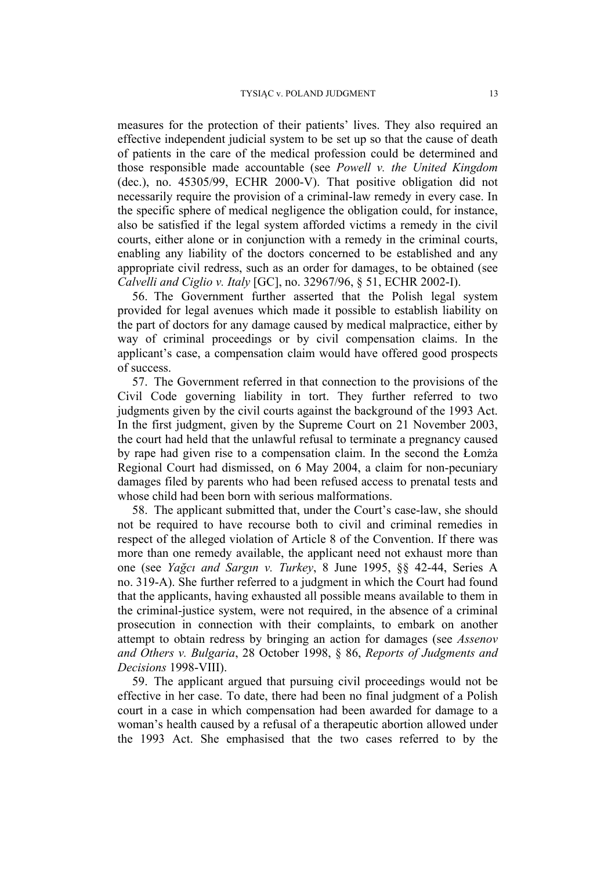measures for the protection of their patients' lives. They also required an effective independent judicial system to be set up so that the cause of death of patients in the care of the medical profession could be determined and those responsible made accountable (see *Powell v. the United Kingdom* (dec.), no. 45305/99, ECHR 2000-V). That positive obligation did not necessarily require the provision of a criminal-law remedy in every case. In the specific sphere of medical negligence the obligation could, for instance, also be satisfied if the legal system afforded victims a remedy in the civil courts, either alone or in conjunction with a remedy in the criminal courts, enabling any liability of the doctors concerned to be established and any appropriate civil redress, such as an order for damages, to be obtained (see *Calvelli and Ciglio v. Italy* [GC], no. 32967/96, § 51, ECHR 2002-I).

56. The Government further asserted that the Polish legal system provided for legal avenues which made it possible to establish liability on the part of doctors for any damage caused by medical malpractice, either by way of criminal proceedings or by civil compensation claims. In the applicant's case, a compensation claim would have offered good prospects of success.

57. The Government referred in that connection to the provisions of the Civil Code governing liability in tort. They further referred to two judgments given by the civil courts against the background of the 1993 Act. In the first judgment, given by the Supreme Court on 21 November 2003, the court had held that the unlawful refusal to terminate a pregnancy caused by rape had given rise to a compensation claim. In the second the Łomża Regional Court had dismissed, on 6 May 2004, a claim for non-pecuniary damages filed by parents who had been refused access to prenatal tests and whose child had been born with serious malformations.

58. The applicant submitted that, under the Court's case-law, she should not be required to have recourse both to civil and criminal remedies in respect of the alleged violation of Article 8 of the Convention. If there was more than one remedy available, the applicant need not exhaust more than one (see *Yağcı and Sargın v. Turkey*, 8 June 1995, §§ 42-44, Series A no. 319-A). She further referred to a judgment in which the Court had found that the applicants, having exhausted all possible means available to them in the criminal-justice system, were not required, in the absence of a criminal prosecution in connection with their complaints, to embark on another attempt to obtain redress by bringing an action for damages (see *Assenov and Others v. Bulgaria*, 28 October 1998, § 86, *Reports of Judgments and Decisions* 1998-VIII).

59. The applicant argued that pursuing civil proceedings would not be effective in her case. To date, there had been no final judgment of a Polish court in a case in which compensation had been awarded for damage to a woman's health caused by a refusal of a therapeutic abortion allowed under the 1993 Act. She emphasised that the two cases referred to by the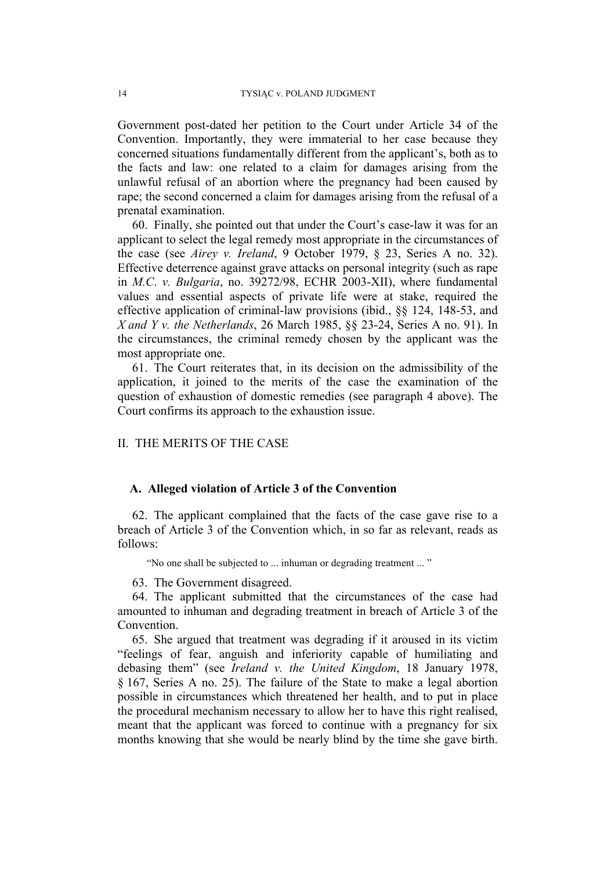Government post-dated her petition to the Court under Article 34 of the Convention. Importantly, they were immaterial to her case because they concerned situations fundamentally different from the applicant's, both as to the facts and law: one related to a claim for damages arising from the unlawful refusal of an abortion where the pregnancy had been caused by rape; the second concerned a claim for damages arising from the refusal of a prenatal examination.

60. Finally, she pointed out that under the Court's case-law it was for an applicant to select the legal remedy most appropriate in the circumstances of the case (see *Airey v. Ireland*, 9 October 1979, § 23, Series A no. 32). Effective deterrence against grave attacks on personal integrity (such as rape in *M.C*. *v. Bulgaria*, no. 39272/98, ECHR 2003-XII), where fundamental values and essential aspects of private life were at stake, required the effective application of criminal-law provisions (ibid., §§ 124, 148-53, and *X and Y v. the Netherlands*, 26 March 1985, §§ 23-24, Series A no. 91). In the circumstances, the criminal remedy chosen by the applicant was the most appropriate one.

61. The Court reiterates that, in its decision on the admissibility of the application, it joined to the merits of the case the examination of the question of exhaustion of domestic remedies (see paragraph 4 above). The Court confirms its approach to the exhaustion issue.

# II. THE MERITS OF THE CASE

#### **A. Alleged violation of Article 3 of the Convention**

62. The applicant complained that the facts of the case gave rise to a breach of Article 3 of the Convention which, in so far as relevant, reads as follows:

"No one shall be subjected to ... inhuman or degrading treatment ... "

63. The Government disagreed.

64. The applicant submitted that the circumstances of the case had amounted to inhuman and degrading treatment in breach of Article 3 of the **Convention** 

65. She argued that treatment was degrading if it aroused in its victim "feelings of fear, anguish and inferiority capable of humiliating and debasing them" (see *Ireland v. the United Kingdom*, 18 January 1978, § 167, Series A no. 25). The failure of the State to make a legal abortion possible in circumstances which threatened her health, and to put in place the procedural mechanism necessary to allow her to have this right realised, meant that the applicant was forced to continue with a pregnancy for six months knowing that she would be nearly blind by the time she gave birth.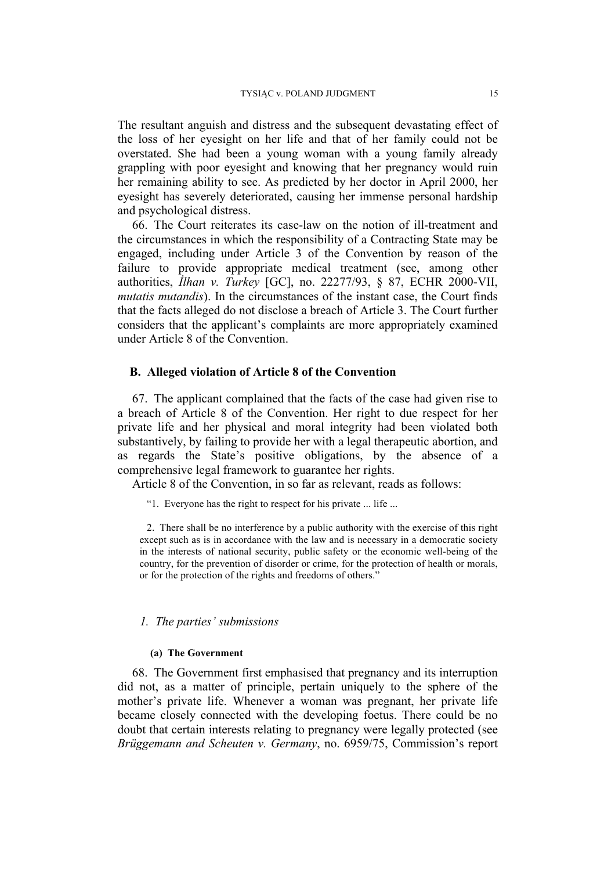The resultant anguish and distress and the subsequent devastating effect of the loss of her eyesight on her life and that of her family could not be overstated. She had been a young woman with a young family already grappling with poor eyesight and knowing that her pregnancy would ruin her remaining ability to see. As predicted by her doctor in April 2000, her eyesight has severely deteriorated, causing her immense personal hardship and psychological distress.

66. The Court reiterates its case-law on the notion of ill-treatment and the circumstances in which the responsibility of a Contracting State may be engaged, including under Article 3 of the Convention by reason of the failure to provide appropriate medical treatment (see, among other authorities, *İlhan v. Turkey* [GC], no. 22277/93, § 87, ECHR 2000-VII, *mutatis mutandis*). In the circumstances of the instant case, the Court finds that the facts alleged do not disclose a breach of Article 3. The Court further considers that the applicant's complaints are more appropriately examined under Article 8 of the Convention.

## **B. Alleged violation of Article 8 of the Convention**

67. The applicant complained that the facts of the case had given rise to a breach of Article 8 of the Convention. Her right to due respect for her private life and her physical and moral integrity had been violated both substantively, by failing to provide her with a legal therapeutic abortion, and as regards the State's positive obligations, by the absence of a comprehensive legal framework to guarantee her rights.

Article 8 of the Convention, in so far as relevant, reads as follows:

"1. Everyone has the right to respect for his private ... life ...

2. There shall be no interference by a public authority with the exercise of this right except such as is in accordance with the law and is necessary in a democratic society in the interests of national security, public safety or the economic well-being of the country, for the prevention of disorder or crime, for the protection of health or morals, or for the protection of the rights and freedoms of others."

#### *1. The parties' submissions*

#### **(a) The Government**

68. The Government first emphasised that pregnancy and its interruption did not, as a matter of principle, pertain uniquely to the sphere of the mother's private life. Whenever a woman was pregnant, her private life became closely connected with the developing foetus. There could be no doubt that certain interests relating to pregnancy were legally protected (see *Brüggemann and Scheuten v. Germany*, no. 6959/75, Commission's report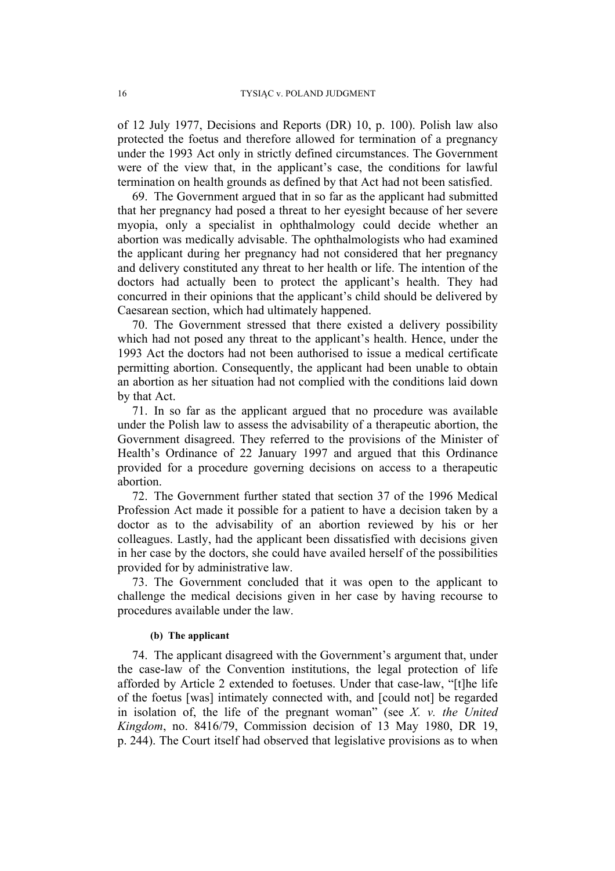of 12 July 1977, Decisions and Reports (DR) 10, p. 100). Polish law also protected the foetus and therefore allowed for termination of a pregnancy under the 1993 Act only in strictly defined circumstances. The Government were of the view that, in the applicant's case, the conditions for lawful termination on health grounds as defined by that Act had not been satisfied.

69. The Government argued that in so far as the applicant had submitted that her pregnancy had posed a threat to her eyesight because of her severe myopia, only a specialist in ophthalmology could decide whether an abortion was medically advisable. The ophthalmologists who had examined the applicant during her pregnancy had not considered that her pregnancy and delivery constituted any threat to her health or life. The intention of the doctors had actually been to protect the applicant's health. They had concurred in their opinions that the applicant's child should be delivered by Caesarean section, which had ultimately happened.

70. The Government stressed that there existed a delivery possibility which had not posed any threat to the applicant's health. Hence, under the 1993 Act the doctors had not been authorised to issue a medical certificate permitting abortion. Consequently, the applicant had been unable to obtain an abortion as her situation had not complied with the conditions laid down by that Act.

71. In so far as the applicant argued that no procedure was available under the Polish law to assess the advisability of a therapeutic abortion, the Government disagreed. They referred to the provisions of the Minister of Health's Ordinance of 22 January 1997 and argued that this Ordinance provided for a procedure governing decisions on access to a therapeutic abortion.

72. The Government further stated that section 37 of the 1996 Medical Profession Act made it possible for a patient to have a decision taken by a doctor as to the advisability of an abortion reviewed by his or her colleagues. Lastly, had the applicant been dissatisfied with decisions given in her case by the doctors, she could have availed herself of the possibilities provided for by administrative law.

73. The Government concluded that it was open to the applicant to challenge the medical decisions given in her case by having recourse to procedures available under the law.

#### **(b) The applicant**

74. The applicant disagreed with the Government's argument that, under the case-law of the Convention institutions, the legal protection of life afforded by Article 2 extended to foetuses. Under that case-law, "[t]he life of the foetus [was] intimately connected with, and [could not] be regarded in isolation of, the life of the pregnant woman" (see *X. v. the United Kingdom*, no. 8416/79, Commission decision of 13 May 1980, DR 19, p. 244). The Court itself had observed that legislative provisions as to when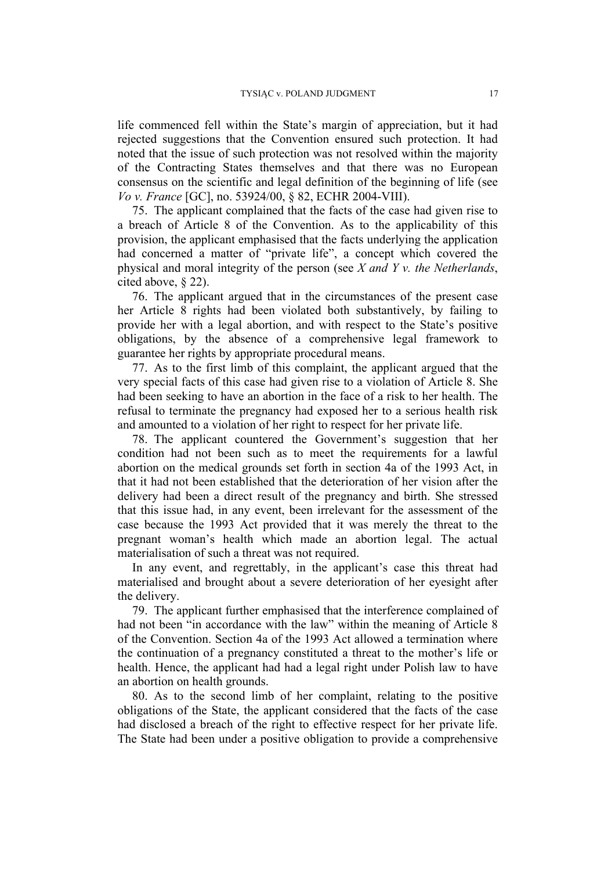life commenced fell within the State's margin of appreciation, but it had rejected suggestions that the Convention ensured such protection. It had noted that the issue of such protection was not resolved within the majority of the Contracting States themselves and that there was no European consensus on the scientific and legal definition of the beginning of life (see *Vo v. France* [GC], no. 53924/00, § 82, ECHR 2004-VIII).

75. The applicant complained that the facts of the case had given rise to a breach of Article 8 of the Convention. As to the applicability of this provision, the applicant emphasised that the facts underlying the application had concerned a matter of "private life", a concept which covered the physical and moral integrity of the person (see *X and Y v. the Netherlands*, cited above, § 22).

76. The applicant argued that in the circumstances of the present case her Article 8 rights had been violated both substantively, by failing to provide her with a legal abortion, and with respect to the State's positive obligations, by the absence of a comprehensive legal framework to guarantee her rights by appropriate procedural means.

77. As to the first limb of this complaint, the applicant argued that the very special facts of this case had given rise to a violation of Article 8. She had been seeking to have an abortion in the face of a risk to her health. The refusal to terminate the pregnancy had exposed her to a serious health risk and amounted to a violation of her right to respect for her private life.

78. The applicant countered the Government's suggestion that her condition had not been such as to meet the requirements for a lawful abortion on the medical grounds set forth in section 4a of the 1993 Act, in that it had not been established that the deterioration of her vision after the delivery had been a direct result of the pregnancy and birth. She stressed that this issue had, in any event, been irrelevant for the assessment of the case because the 1993 Act provided that it was merely the threat to the pregnant woman's health which made an abortion legal. The actual materialisation of such a threat was not required.

In any event, and regrettably, in the applicant's case this threat had materialised and brought about a severe deterioration of her eyesight after the delivery.

79. The applicant further emphasised that the interference complained of had not been "in accordance with the law" within the meaning of Article 8 of the Convention. Section 4a of the 1993 Act allowed a termination where the continuation of a pregnancy constituted a threat to the mother's life or health. Hence, the applicant had had a legal right under Polish law to have an abortion on health grounds.

80. As to the second limb of her complaint, relating to the positive obligations of the State, the applicant considered that the facts of the case had disclosed a breach of the right to effective respect for her private life. The State had been under a positive obligation to provide a comprehensive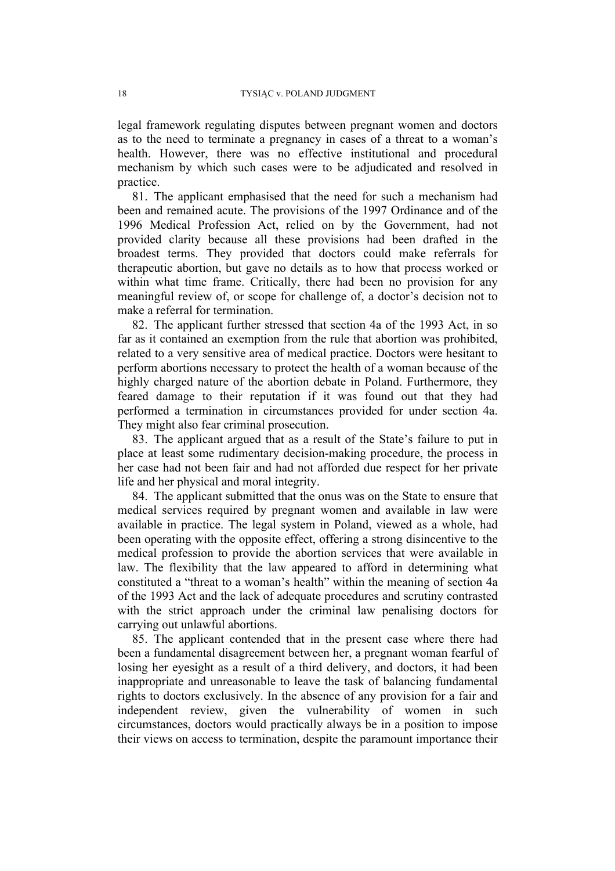legal framework regulating disputes between pregnant women and doctors as to the need to terminate a pregnancy in cases of a threat to a woman's health. However, there was no effective institutional and procedural mechanism by which such cases were to be adjudicated and resolved in practice.

81. The applicant emphasised that the need for such a mechanism had been and remained acute. The provisions of the 1997 Ordinance and of the 1996 Medical Profession Act, relied on by the Government, had not provided clarity because all these provisions had been drafted in the broadest terms. They provided that doctors could make referrals for therapeutic abortion, but gave no details as to how that process worked or within what time frame. Critically, there had been no provision for any meaningful review of, or scope for challenge of, a doctor's decision not to make a referral for termination.

82. The applicant further stressed that section 4a of the 1993 Act, in so far as it contained an exemption from the rule that abortion was prohibited, related to a very sensitive area of medical practice. Doctors were hesitant to perform abortions necessary to protect the health of a woman because of the highly charged nature of the abortion debate in Poland. Furthermore, they feared damage to their reputation if it was found out that they had performed a termination in circumstances provided for under section 4a. They might also fear criminal prosecution.

83. The applicant argued that as a result of the State's failure to put in place at least some rudimentary decision-making procedure, the process in her case had not been fair and had not afforded due respect for her private life and her physical and moral integrity.

84. The applicant submitted that the onus was on the State to ensure that medical services required by pregnant women and available in law were available in practice. The legal system in Poland, viewed as a whole, had been operating with the opposite effect, offering a strong disincentive to the medical profession to provide the abortion services that were available in law. The flexibility that the law appeared to afford in determining what constituted a "threat to a woman's health" within the meaning of section 4a of the 1993 Act and the lack of adequate procedures and scrutiny contrasted with the strict approach under the criminal law penalising doctors for carrying out unlawful abortions.

85. The applicant contended that in the present case where there had been a fundamental disagreement between her, a pregnant woman fearful of losing her eyesight as a result of a third delivery, and doctors, it had been inappropriate and unreasonable to leave the task of balancing fundamental rights to doctors exclusively. In the absence of any provision for a fair and independent review, given the vulnerability of women in such circumstances, doctors would practically always be in a position to impose their views on access to termination, despite the paramount importance their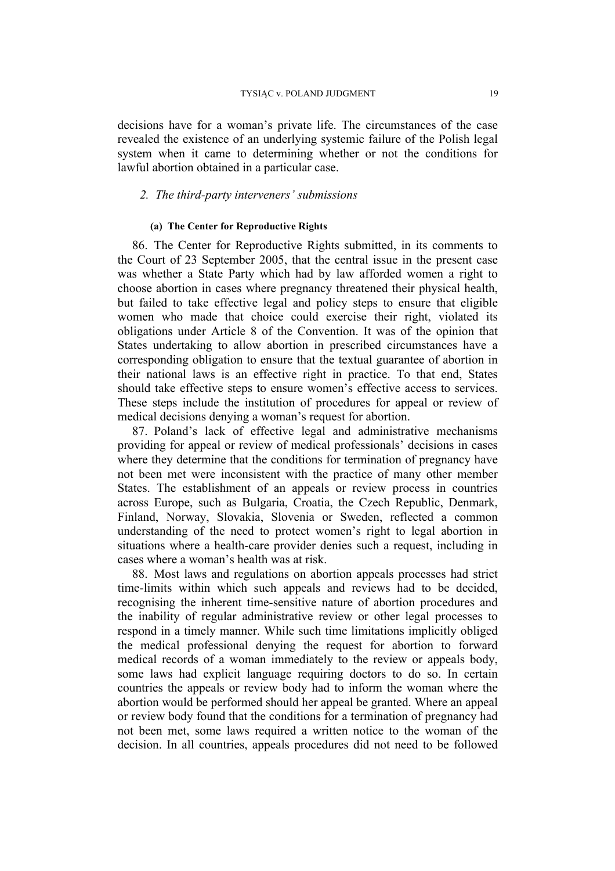decisions have for a woman's private life. The circumstances of the case revealed the existence of an underlying systemic failure of the Polish legal system when it came to determining whether or not the conditions for lawful abortion obtained in a particular case.

## *2. The third-party interveners' submissions*

#### **(a) The Center for Reproductive Rights**

86. The Center for Reproductive Rights submitted, in its comments to the Court of 23 September 2005, that the central issue in the present case was whether a State Party which had by law afforded women a right to choose abortion in cases where pregnancy threatened their physical health, but failed to take effective legal and policy steps to ensure that eligible women who made that choice could exercise their right, violated its obligations under Article 8 of the Convention. It was of the opinion that States undertaking to allow abortion in prescribed circumstances have a corresponding obligation to ensure that the textual guarantee of abortion in their national laws is an effective right in practice. To that end, States should take effective steps to ensure women's effective access to services. These steps include the institution of procedures for appeal or review of medical decisions denying a woman's request for abortion.

87. Poland's lack of effective legal and administrative mechanisms providing for appeal or review of medical professionals' decisions in cases where they determine that the conditions for termination of pregnancy have not been met were inconsistent with the practice of many other member States. The establishment of an appeals or review process in countries across Europe, such as Bulgaria, Croatia, the Czech Republic, Denmark, Finland, Norway, Slovakia, Slovenia or Sweden, reflected a common understanding of the need to protect women's right to legal abortion in situations where a health-care provider denies such a request, including in cases where a woman's health was at risk.

88. Most laws and regulations on abortion appeals processes had strict time-limits within which such appeals and reviews had to be decided, recognising the inherent time-sensitive nature of abortion procedures and the inability of regular administrative review or other legal processes to respond in a timely manner. While such time limitations implicitly obliged the medical professional denying the request for abortion to forward medical records of a woman immediately to the review or appeals body, some laws had explicit language requiring doctors to do so. In certain countries the appeals or review body had to inform the woman where the abortion would be performed should her appeal be granted. Where an appeal or review body found that the conditions for a termination of pregnancy had not been met, some laws required a written notice to the woman of the decision. In all countries, appeals procedures did not need to be followed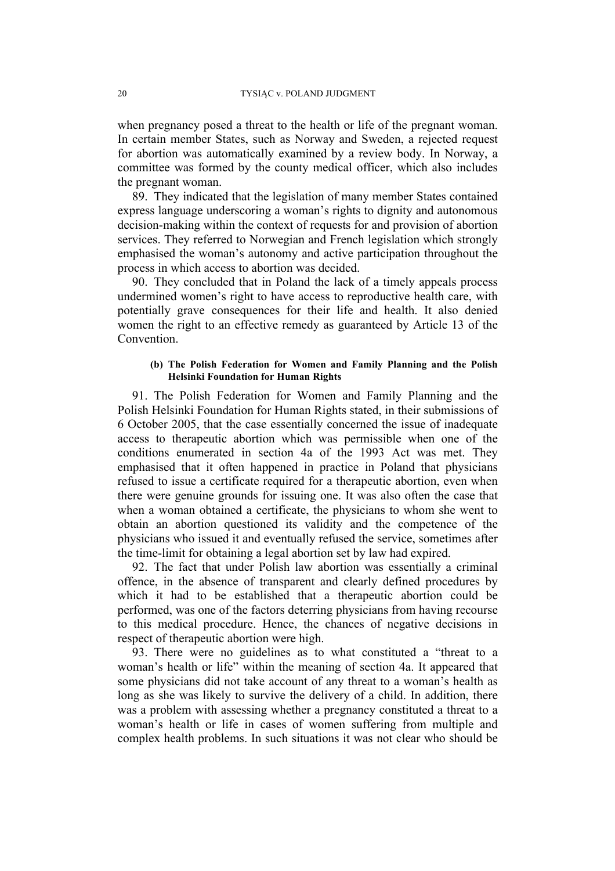when pregnancy posed a threat to the health or life of the pregnant woman. In certain member States, such as Norway and Sweden, a rejected request for abortion was automatically examined by a review body. In Norway, a committee was formed by the county medical officer, which also includes the pregnant woman.

89. They indicated that the legislation of many member States contained express language underscoring a woman's rights to dignity and autonomous decision-making within the context of requests for and provision of abortion services. They referred to Norwegian and French legislation which strongly emphasised the woman's autonomy and active participation throughout the process in which access to abortion was decided.

90. They concluded that in Poland the lack of a timely appeals process undermined women's right to have access to reproductive health care, with potentially grave consequences for their life and health. It also denied women the right to an effective remedy as guaranteed by Article 13 of the Convention.

#### **(b) The Polish Federation for Women and Family Planning and the Polish Helsinki Foundation for Human Rights**

91. The Polish Federation for Women and Family Planning and the Polish Helsinki Foundation for Human Rights stated, in their submissions of 6 October 2005, that the case essentially concerned the issue of inadequate access to therapeutic abortion which was permissible when one of the conditions enumerated in section 4a of the 1993 Act was met. They emphasised that it often happened in practice in Poland that physicians refused to issue a certificate required for a therapeutic abortion, even when there were genuine grounds for issuing one. It was also often the case that when a woman obtained a certificate, the physicians to whom she went to obtain an abortion questioned its validity and the competence of the physicians who issued it and eventually refused the service, sometimes after the time-limit for obtaining a legal abortion set by law had expired.

92. The fact that under Polish law abortion was essentially a criminal offence, in the absence of transparent and clearly defined procedures by which it had to be established that a therapeutic abortion could be performed, was one of the factors deterring physicians from having recourse to this medical procedure. Hence, the chances of negative decisions in respect of therapeutic abortion were high.

93. There were no guidelines as to what constituted a "threat to a woman's health or life" within the meaning of section 4a. It appeared that some physicians did not take account of any threat to a woman's health as long as she was likely to survive the delivery of a child. In addition, there was a problem with assessing whether a pregnancy constituted a threat to a woman's health or life in cases of women suffering from multiple and complex health problems. In such situations it was not clear who should be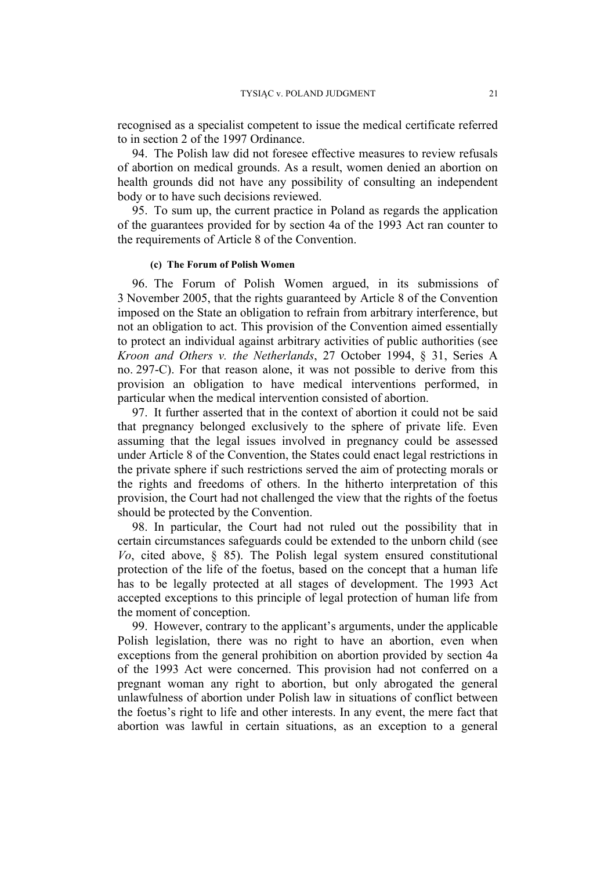recognised as a specialist competent to issue the medical certificate referred to in section 2 of the 1997 Ordinance.

94. The Polish law did not foresee effective measures to review refusals of abortion on medical grounds. As a result, women denied an abortion on health grounds did not have any possibility of consulting an independent body or to have such decisions reviewed.

95. To sum up, the current practice in Poland as regards the application of the guarantees provided for by section 4a of the 1993 Act ran counter to the requirements of Article 8 of the Convention.

#### **(c) The Forum of Polish Women**

96. The Forum of Polish Women argued, in its submissions of 3 November 2005, that the rights guaranteed by Article 8 of the Convention imposed on the State an obligation to refrain from arbitrary interference, but not an obligation to act. This provision of the Convention aimed essentially to protect an individual against arbitrary activities of public authorities (see *Kroon and Others v. the Netherlands*, 27 October 1994, § 31, Series A no. 297-C). For that reason alone, it was not possible to derive from this provision an obligation to have medical interventions performed, in particular when the medical intervention consisted of abortion.

97. It further asserted that in the context of abortion it could not be said that pregnancy belonged exclusively to the sphere of private life. Even assuming that the legal issues involved in pregnancy could be assessed under Article 8 of the Convention, the States could enact legal restrictions in the private sphere if such restrictions served the aim of protecting morals or the rights and freedoms of others. In the hitherto interpretation of this provision, the Court had not challenged the view that the rights of the foetus should be protected by the Convention.

98. In particular, the Court had not ruled out the possibility that in certain circumstances safeguards could be extended to the unborn child (see *Vo*, cited above, § 85). The Polish legal system ensured constitutional protection of the life of the foetus, based on the concept that a human life has to be legally protected at all stages of development. The 1993 Act accepted exceptions to this principle of legal protection of human life from the moment of conception.

99. However, contrary to the applicant's arguments, under the applicable Polish legislation, there was no right to have an abortion, even when exceptions from the general prohibition on abortion provided by section 4a of the 1993 Act were concerned. This provision had not conferred on a pregnant woman any right to abortion, but only abrogated the general unlawfulness of abortion under Polish law in situations of conflict between the foetus's right to life and other interests. In any event, the mere fact that abortion was lawful in certain situations, as an exception to a general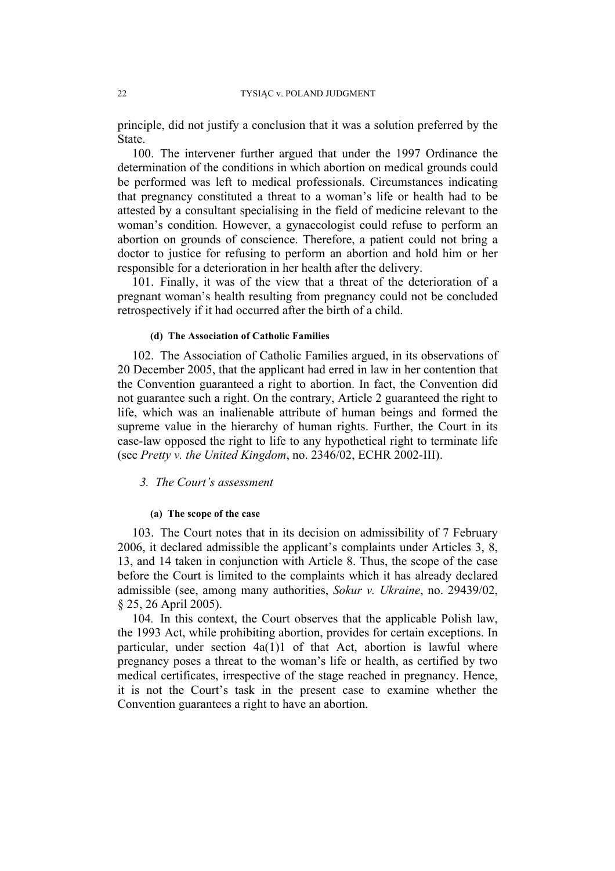principle, did not justify a conclusion that it was a solution preferred by the State.

100. The intervener further argued that under the 1997 Ordinance the determination of the conditions in which abortion on medical grounds could be performed was left to medical professionals. Circumstances indicating that pregnancy constituted a threat to a woman's life or health had to be attested by a consultant specialising in the field of medicine relevant to the woman's condition. However, a gynaecologist could refuse to perform an abortion on grounds of conscience. Therefore, a patient could not bring a doctor to justice for refusing to perform an abortion and hold him or her responsible for a deterioration in her health after the delivery.

101. Finally, it was of the view that a threat of the deterioration of a pregnant woman's health resulting from pregnancy could not be concluded retrospectively if it had occurred after the birth of a child.

#### **(d) The Association of Catholic Families**

102. The Association of Catholic Families argued, in its observations of 20 December 2005, that the applicant had erred in law in her contention that the Convention guaranteed a right to abortion. In fact, the Convention did not guarantee such a right. On the contrary, Article 2 guaranteed the right to life, which was an inalienable attribute of human beings and formed the supreme value in the hierarchy of human rights. Further, the Court in its case-law opposed the right to life to any hypothetical right to terminate life (see *Pretty v. the United Kingdom*, no. 2346/02, ECHR 2002-III).

## *3. The Court's assessment*

#### **(a) The scope of the case**

103. The Court notes that in its decision on admissibility of 7 February 2006, it declared admissible the applicant's complaints under Articles 3, 8, 13, and 14 taken in conjunction with Article 8. Thus, the scope of the case before the Court is limited to the complaints which it has already declared admissible (see, among many authorities, *Sokur v. Ukraine*, no. 29439/02, § 25, 26 April 2005).

104*.* In this context, the Court observes that the applicable Polish law, the 1993 Act, while prohibiting abortion, provides for certain exceptions. In particular, under section 4a(1)1 of that Act, abortion is lawful where pregnancy poses a threat to the woman's life or health, as certified by two medical certificates, irrespective of the stage reached in pregnancy. Hence, it is not the Court's task in the present case to examine whether the Convention guarantees a right to have an abortion.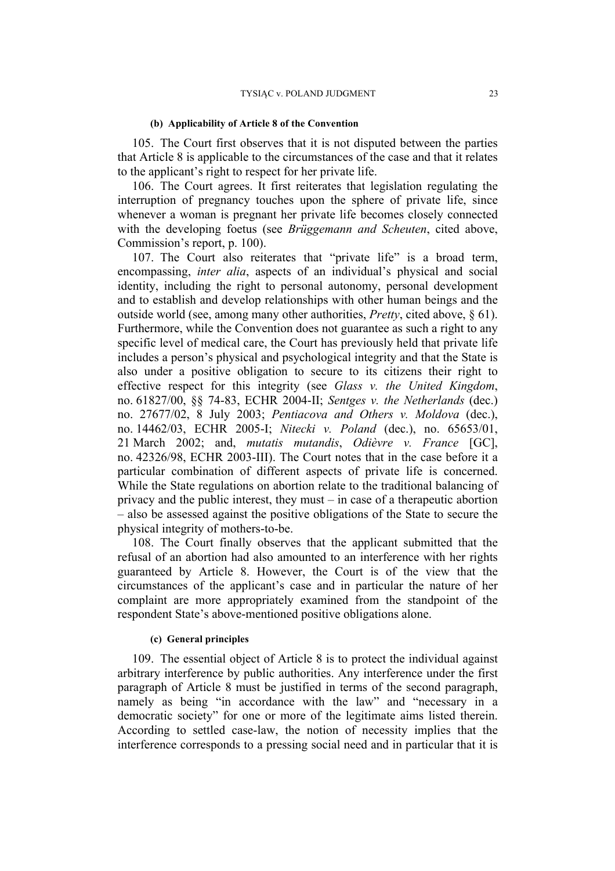#### **(b) Applicability of Article 8 of the Convention**

105. The Court first observes that it is not disputed between the parties that Article 8 is applicable to the circumstances of the case and that it relates to the applicant's right to respect for her private life.

106. The Court agrees. It first reiterates that legislation regulating the interruption of pregnancy touches upon the sphere of private life, since whenever a woman is pregnant her private life becomes closely connected with the developing foetus (see *Brüggemann and Scheuten*, cited above, Commission's report, p. 100).

107. The Court also reiterates that "private life" is a broad term, encompassing, *inter alia*, aspects of an individual's physical and social identity, including the right to personal autonomy, personal development and to establish and develop relationships with other human beings and the outside world (see, among many other authorities, *Pretty*, cited above, § 61). Furthermore, while the Convention does not guarantee as such a right to any specific level of medical care, the Court has previously held that private life includes a person's physical and psychological integrity and that the State is also under a positive obligation to secure to its citizens their right to effective respect for this integrity (see *Glass v. the United Kingdom*, no. 61827/00, §§ 74-83, ECHR 2004-II; *Sentges v. the Netherlands* (dec.) no. 27677/02, 8 July 2003; *Pentiacova and Others v. Moldova* (dec.), no. 14462/03, ECHR 2005-I; *Nitecki v. Poland* (dec.), no. 65653/01, 21 March 2002; and, *mutatis mutandis*, *Odièvre v. France* [GC], no. 42326/98, ECHR 2003-III). The Court notes that in the case before it a particular combination of different aspects of private life is concerned. While the State regulations on abortion relate to the traditional balancing of privacy and the public interest, they must – in case of a therapeutic abortion – also be assessed against the positive obligations of the State to secure the physical integrity of mothers-to-be.

108. The Court finally observes that the applicant submitted that the refusal of an abortion had also amounted to an interference with her rights guaranteed by Article 8. However, the Court is of the view that the circumstances of the applicant's case and in particular the nature of her complaint are more appropriately examined from the standpoint of the respondent State's above-mentioned positive obligations alone.

## **(c) General principles**

109. The essential object of Article 8 is to protect the individual against arbitrary interference by public authorities. Any interference under the first paragraph of Article 8 must be justified in terms of the second paragraph, namely as being "in accordance with the law" and "necessary in a democratic society" for one or more of the legitimate aims listed therein. According to settled case-law, the notion of necessity implies that the interference corresponds to a pressing social need and in particular that it is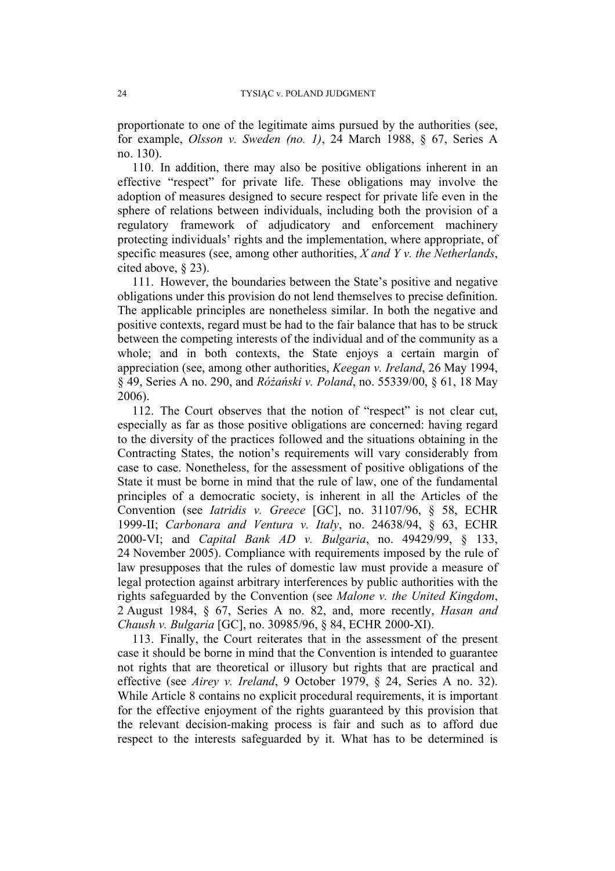proportionate to one of the legitimate aims pursued by the authorities (see, for example, *Olsson v. Sweden (no. 1)*, 24 March 1988, § 67, Series A no. 130).

110. In addition, there may also be positive obligations inherent in an effective "respect" for private life. These obligations may involve the adoption of measures designed to secure respect for private life even in the sphere of relations between individuals, including both the provision of a regulatory framework of adjudicatory and enforcement machinery protecting individuals' rights and the implementation, where appropriate, of specific measures (see, among other authorities, *X and Y v. the Netherlands*, cited above, § 23).

111. However, the boundaries between the State's positive and negative obligations under this provision do not lend themselves to precise definition. The applicable principles are nonetheless similar. In both the negative and positive contexts, regard must be had to the fair balance that has to be struck between the competing interests of the individual and of the community as a whole; and in both contexts, the State enjoys a certain margin of appreciation (see, among other authorities, *Keegan v. Ireland*, 26 May 1994, § 49, Series A no. 290, and *Różański v. Poland*, no. 55339/00, § 61, 18 May 2006).

112. The Court observes that the notion of "respect" is not clear cut, especially as far as those positive obligations are concerned: having regard to the diversity of the practices followed and the situations obtaining in the Contracting States, the notion's requirements will vary considerably from case to case. Nonetheless, for the assessment of positive obligations of the State it must be borne in mind that the rule of law, one of the fundamental principles of a democratic society, is inherent in all the Articles of the Convention (see *Iatridis v. Greece* [GC], no. 31107/96, § 58, ECHR 1999-II; *Carbonara and Ventura v. Italy*, no. 24638/94, § 63, ECHR 2000-VI; and *Capital Bank AD v. Bulgaria*, no. 49429/99, § 133, 24 November 2005). Compliance with requirements imposed by the rule of law presupposes that the rules of domestic law must provide a measure of legal protection against arbitrary interferences by public authorities with the rights safeguarded by the Convention (see *Malone v. the United Kingdom*, 2 August 1984, § 67, Series A no. 82, and, more recently, *Hasan and Chaush v. Bulgaria* [GC], no. 30985/96, § 84, ECHR 2000-XI).

113. Finally, the Court reiterates that in the assessment of the present case it should be borne in mind that the Convention is intended to guarantee not rights that are theoretical or illusory but rights that are practical and effective (see *Airey v. Ireland*, 9 October 1979, § 24, Series A no. 32). While Article 8 contains no explicit procedural requirements, it is important for the effective enjoyment of the rights guaranteed by this provision that the relevant decision-making process is fair and such as to afford due respect to the interests safeguarded by it. What has to be determined is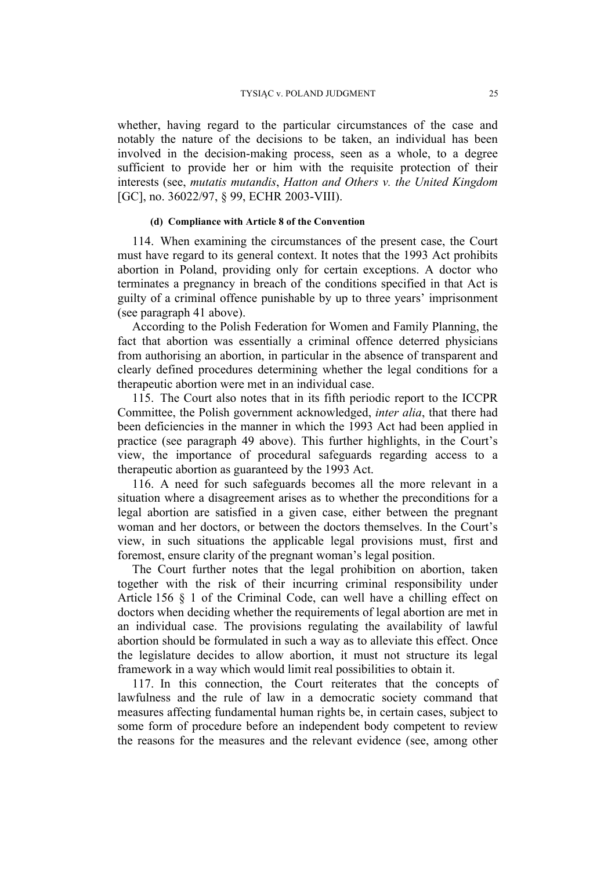whether, having regard to the particular circumstances of the case and notably the nature of the decisions to be taken, an individual has been involved in the decision-making process, seen as a whole, to a degree sufficient to provide her or him with the requisite protection of their interests (see, *mutatis mutandis*, *Hatton and Others v. the United Kingdom* [GC], no. 36022/97, § 99, ECHR 2003-VIII).

## **(d) Compliance with Article 8 of the Convention**

114. When examining the circumstances of the present case, the Court must have regard to its general context. It notes that the 1993 Act prohibits abortion in Poland, providing only for certain exceptions. A doctor who terminates a pregnancy in breach of the conditions specified in that Act is guilty of a criminal offence punishable by up to three years' imprisonment (see paragraph 41 above).

According to the Polish Federation for Women and Family Planning, the fact that abortion was essentially a criminal offence deterred physicians from authorising an abortion, in particular in the absence of transparent and clearly defined procedures determining whether the legal conditions for a therapeutic abortion were met in an individual case.

115. The Court also notes that in its fifth periodic report to the ICCPR Committee, the Polish government acknowledged, *inter alia*, that there had been deficiencies in the manner in which the 1993 Act had been applied in practice (see paragraph 49 above). This further highlights, in the Court's view, the importance of procedural safeguards regarding access to a therapeutic abortion as guaranteed by the 1993 Act.

116. A need for such safeguards becomes all the more relevant in a situation where a disagreement arises as to whether the preconditions for a legal abortion are satisfied in a given case, either between the pregnant woman and her doctors, or between the doctors themselves. In the Court's view, in such situations the applicable legal provisions must, first and foremost, ensure clarity of the pregnant woman's legal position.

The Court further notes that the legal prohibition on abortion, taken together with the risk of their incurring criminal responsibility under Article 156 § 1 of the Criminal Code, can well have a chilling effect on doctors when deciding whether the requirements of legal abortion are met in an individual case. The provisions regulating the availability of lawful abortion should be formulated in such a way as to alleviate this effect. Once the legislature decides to allow abortion, it must not structure its legal framework in a way which would limit real possibilities to obtain it.

117. In this connection, the Court reiterates that the concepts of lawfulness and the rule of law in a democratic society command that measures affecting fundamental human rights be, in certain cases, subject to some form of procedure before an independent body competent to review the reasons for the measures and the relevant evidence (see, among other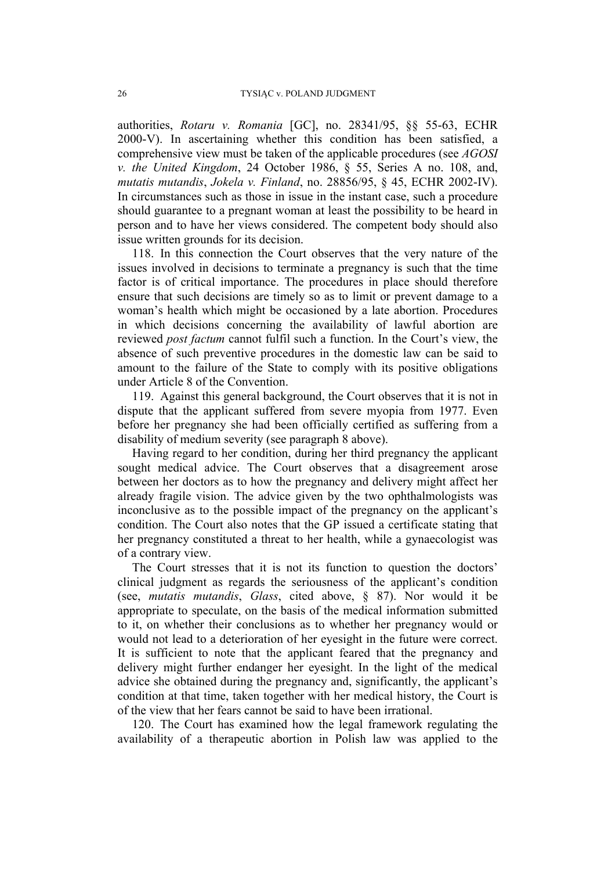authorities, *Rotaru v. Romania* [GC], no. 28341/95, §§ 55-63, ECHR 2000-V). In ascertaining whether this condition has been satisfied, a comprehensive view must be taken of the applicable procedures (see *AGOSI v. the United Kingdom*, 24 October 1986, § 55, Series A no. 108, and, *mutatis mutandis*, *Jokela v. Finland*, no. 28856/95, § 45, ECHR 2002-IV). In circumstances such as those in issue in the instant case, such a procedure should guarantee to a pregnant woman at least the possibility to be heard in person and to have her views considered. The competent body should also issue written grounds for its decision.

118. In this connection the Court observes that the very nature of the issues involved in decisions to terminate a pregnancy is such that the time factor is of critical importance. The procedures in place should therefore ensure that such decisions are timely so as to limit or prevent damage to a woman's health which might be occasioned by a late abortion. Procedures in which decisions concerning the availability of lawful abortion are reviewed *post factum* cannot fulfil such a function. In the Court's view, the absence of such preventive procedures in the domestic law can be said to amount to the failure of the State to comply with its positive obligations under Article 8 of the Convention.

119. Against this general background, the Court observes that it is not in dispute that the applicant suffered from severe myopia from 1977. Even before her pregnancy she had been officially certified as suffering from a disability of medium severity (see paragraph 8 above).

Having regard to her condition, during her third pregnancy the applicant sought medical advice. The Court observes that a disagreement arose between her doctors as to how the pregnancy and delivery might affect her already fragile vision. The advice given by the two ophthalmologists was inconclusive as to the possible impact of the pregnancy on the applicant's condition. The Court also notes that the GP issued a certificate stating that her pregnancy constituted a threat to her health, while a gynaecologist was of a contrary view.

The Court stresses that it is not its function to question the doctors' clinical judgment as regards the seriousness of the applicant's condition (see, *mutatis mutandis*, *Glass*, cited above, § 87). Nor would it be appropriate to speculate, on the basis of the medical information submitted to it, on whether their conclusions as to whether her pregnancy would or would not lead to a deterioration of her eyesight in the future were correct. It is sufficient to note that the applicant feared that the pregnancy and delivery might further endanger her eyesight. In the light of the medical advice she obtained during the pregnancy and, significantly, the applicant's condition at that time, taken together with her medical history, the Court is of the view that her fears cannot be said to have been irrational.

120. The Court has examined how the legal framework regulating the availability of a therapeutic abortion in Polish law was applied to the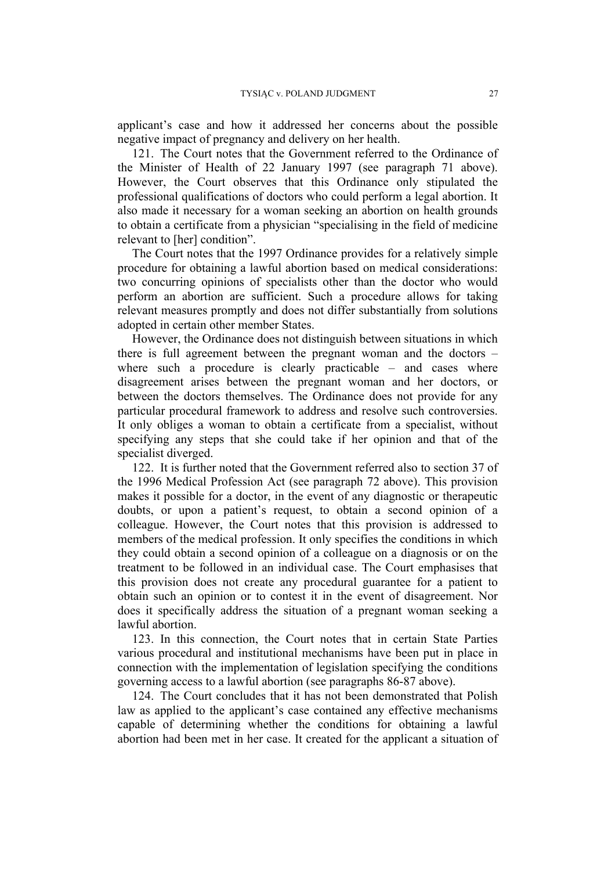applicant's case and how it addressed her concerns about the possible negative impact of pregnancy and delivery on her health.

121. The Court notes that the Government referred to the Ordinance of the Minister of Health of 22 January 1997 (see paragraph 71 above). However, the Court observes that this Ordinance only stipulated the professional qualifications of doctors who could perform a legal abortion. It also made it necessary for a woman seeking an abortion on health grounds to obtain a certificate from a physician "specialising in the field of medicine relevant to [her] condition".

The Court notes that the 1997 Ordinance provides for a relatively simple procedure for obtaining a lawful abortion based on medical considerations: two concurring opinions of specialists other than the doctor who would perform an abortion are sufficient. Such a procedure allows for taking relevant measures promptly and does not differ substantially from solutions adopted in certain other member States.

However, the Ordinance does not distinguish between situations in which there is full agreement between the pregnant woman and the doctors – where such a procedure is clearly practicable – and cases where disagreement arises between the pregnant woman and her doctors, or between the doctors themselves. The Ordinance does not provide for any particular procedural framework to address and resolve such controversies. It only obliges a woman to obtain a certificate from a specialist, without specifying any steps that she could take if her opinion and that of the specialist diverged.

122. It is further noted that the Government referred also to section 37 of the 1996 Medical Profession Act (see paragraph 72 above). This provision makes it possible for a doctor, in the event of any diagnostic or therapeutic doubts, or upon a patient's request, to obtain a second opinion of a colleague. However, the Court notes that this provision is addressed to members of the medical profession. It only specifies the conditions in which they could obtain a second opinion of a colleague on a diagnosis or on the treatment to be followed in an individual case. The Court emphasises that this provision does not create any procedural guarantee for a patient to obtain such an opinion or to contest it in the event of disagreement. Nor does it specifically address the situation of a pregnant woman seeking a lawful abortion.

123. In this connection, the Court notes that in certain State Parties various procedural and institutional mechanisms have been put in place in connection with the implementation of legislation specifying the conditions governing access to a lawful abortion (see paragraphs 86-87 above).

124. The Court concludes that it has not been demonstrated that Polish law as applied to the applicant's case contained any effective mechanisms capable of determining whether the conditions for obtaining a lawful abortion had been met in her case. It created for the applicant a situation of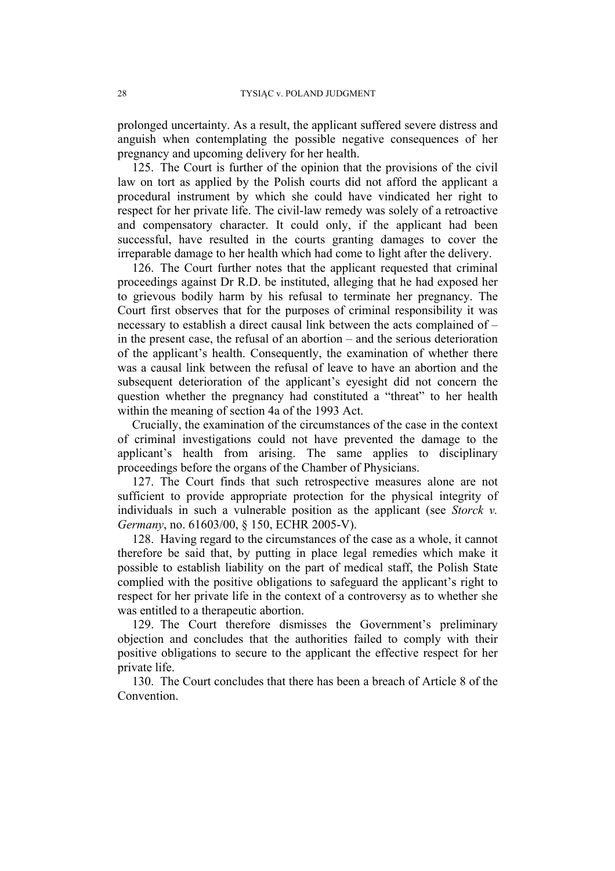prolonged uncertainty. As a result, the applicant suffered severe distress and anguish when contemplating the possible negative consequences of her pregnancy and upcoming delivery for her health.

125. The Court is further of the opinion that the provisions of the civil law on tort as applied by the Polish courts did not afford the applicant a procedural instrument by which she could have vindicated her right to respect for her private life. The civil-law remedy was solely of a retroactive and compensatory character. It could only, if the applicant had been successful, have resulted in the courts granting damages to cover the irreparable damage to her health which had come to light after the delivery.

126. The Court further notes that the applicant requested that criminal proceedings against Dr R.D. be instituted, alleging that he had exposed her to grievous bodily harm by his refusal to terminate her pregnancy. The Court first observes that for the purposes of criminal responsibility it was necessary to establish a direct causal link between the acts complained of – in the present case, the refusal of an abortion – and the serious deterioration of the applicant's health. Consequently, the examination of whether there was a causal link between the refusal of leave to have an abortion and the subsequent deterioration of the applicant's eyesight did not concern the question whether the pregnancy had constituted a "threat" to her health within the meaning of section 4a of the 1993 Act.

Crucially, the examination of the circumstances of the case in the context of criminal investigations could not have prevented the damage to the applicant's health from arising. The same applies to disciplinary proceedings before the organs of the Chamber of Physicians.

127. The Court finds that such retrospective measures alone are not sufficient to provide appropriate protection for the physical integrity of individuals in such a vulnerable position as the applicant (see *Storck v. Germany*, no. 61603/00, § 150, ECHR 2005-V).

128. Having regard to the circumstances of the case as a whole, it cannot therefore be said that, by putting in place legal remedies which make it possible to establish liability on the part of medical staff, the Polish State complied with the positive obligations to safeguard the applicant's right to respect for her private life in the context of a controversy as to whether she was entitled to a therapeutic abortion.

129. The Court therefore dismisses the Government's preliminary objection and concludes that the authorities failed to comply with their positive obligations to secure to the applicant the effective respect for her private life.

130. The Court concludes that there has been a breach of Article 8 of the Convention.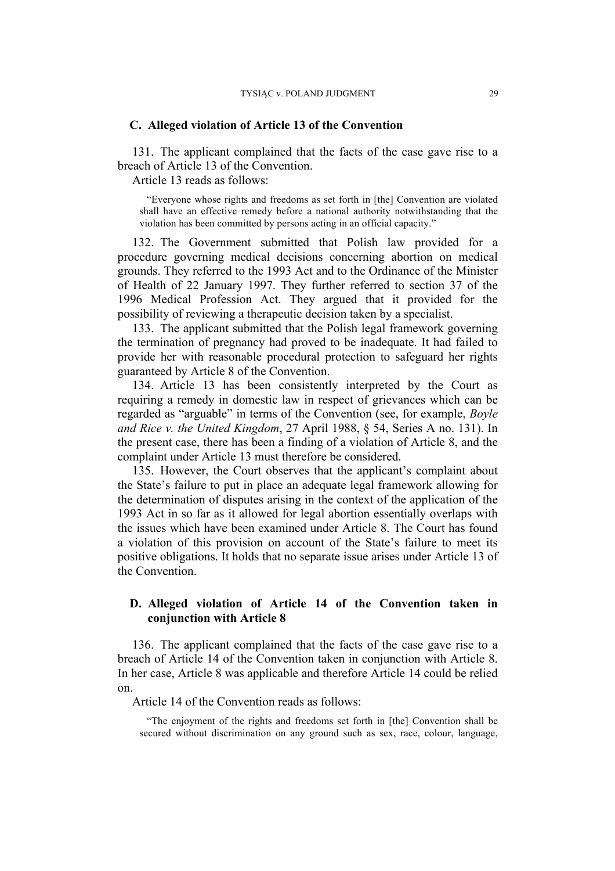#### **C. Alleged violation of Article 13 of the Convention**

131. The applicant complained that the facts of the case gave rise to a breach of Article 13 of the Convention.

Article 13 reads as follows:

"Everyone whose rights and freedoms as set forth in [the] Convention are violated shall have an effective remedy before a national authority notwithstanding that the violation has been committed by persons acting in an official capacity."

132. The Government submitted that Polish law provided for a procedure governing medical decisions concerning abortion on medical grounds. They referred to the 1993 Act and to the Ordinance of the Minister of Health of 22 January 1997. They further referred to section 37 of the 1996 Medical Profession Act. They argued that it provided for the possibility of reviewing a therapeutic decision taken by a specialist.

133. The applicant submitted that the Polish legal framework governing the termination of pregnancy had proved to be inadequate. It had failed to provide her with reasonable procedural protection to safeguard her rights guaranteed by Article 8 of the Convention.

134. Article 13 has been consistently interpreted by the Court as requiring a remedy in domestic law in respect of grievances which can be regarded as "arguable" in terms of the Convention (see, for example, *Boyle and Rice v. the United Kingdom*, 27 April 1988, § 54, Series A no. 131). In the present case, there has been a finding of a violation of Article 8, and the complaint under Article 13 must therefore be considered.

135. However, the Court observes that the applicant's complaint about the State's failure to put in place an adequate legal framework allowing for the determination of disputes arising in the context of the application of the 1993 Act in so far as it allowed for legal abortion essentially overlaps with the issues which have been examined under Article 8. The Court has found a violation of this provision on account of the State's failure to meet its positive obligations. It holds that no separate issue arises under Article 13 of the Convention.

## **D. Alleged violation of Article 14 of the Convention taken in conjunction with Article 8**

136. The applicant complained that the facts of the case gave rise to a breach of Article 14 of the Convention taken in conjunction with Article 8. In her case, Article 8 was applicable and therefore Article 14 could be relied on.

Article 14 of the Convention reads as follows:

"The enjoyment of the rights and freedoms set forth in [the] Convention shall be secured without discrimination on any ground such as sex, race, colour, language,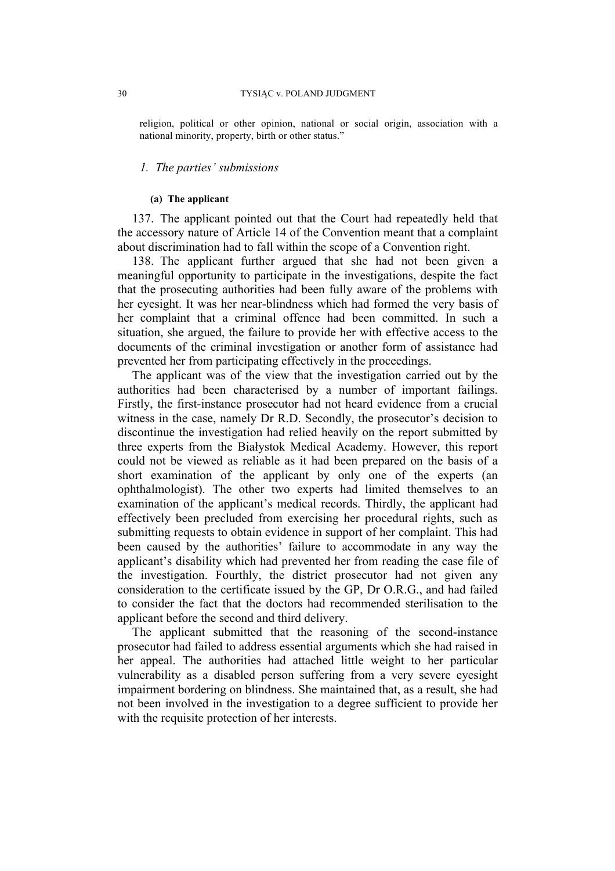religion, political or other opinion, national or social origin, association with a national minority, property, birth or other status."

#### *1. The parties' submissions*

#### **(a) The applicant**

137. The applicant pointed out that the Court had repeatedly held that the accessory nature of Article 14 of the Convention meant that a complaint about discrimination had to fall within the scope of a Convention right.

138. The applicant further argued that she had not been given a meaningful opportunity to participate in the investigations, despite the fact that the prosecuting authorities had been fully aware of the problems with her eyesight. It was her near-blindness which had formed the very basis of her complaint that a criminal offence had been committed. In such a situation, she argued, the failure to provide her with effective access to the documents of the criminal investigation or another form of assistance had prevented her from participating effectively in the proceedings.

The applicant was of the view that the investigation carried out by the authorities had been characterised by a number of important failings. Firstly, the first-instance prosecutor had not heard evidence from a crucial witness in the case, namely Dr R.D. Secondly, the prosecutor's decision to discontinue the investigation had relied heavily on the report submitted by three experts from the Białystok Medical Academy. However, this report could not be viewed as reliable as it had been prepared on the basis of a short examination of the applicant by only one of the experts (an ophthalmologist). The other two experts had limited themselves to an examination of the applicant's medical records. Thirdly, the applicant had effectively been precluded from exercising her procedural rights, such as submitting requests to obtain evidence in support of her complaint. This had been caused by the authorities' failure to accommodate in any way the applicant's disability which had prevented her from reading the case file of the investigation. Fourthly, the district prosecutor had not given any consideration to the certificate issued by the GP, Dr O.R.G., and had failed to consider the fact that the doctors had recommended sterilisation to the applicant before the second and third delivery.

The applicant submitted that the reasoning of the second-instance prosecutor had failed to address essential arguments which she had raised in her appeal. The authorities had attached little weight to her particular vulnerability as a disabled person suffering from a very severe eyesight impairment bordering on blindness. She maintained that, as a result, she had not been involved in the investigation to a degree sufficient to provide her with the requisite protection of her interests.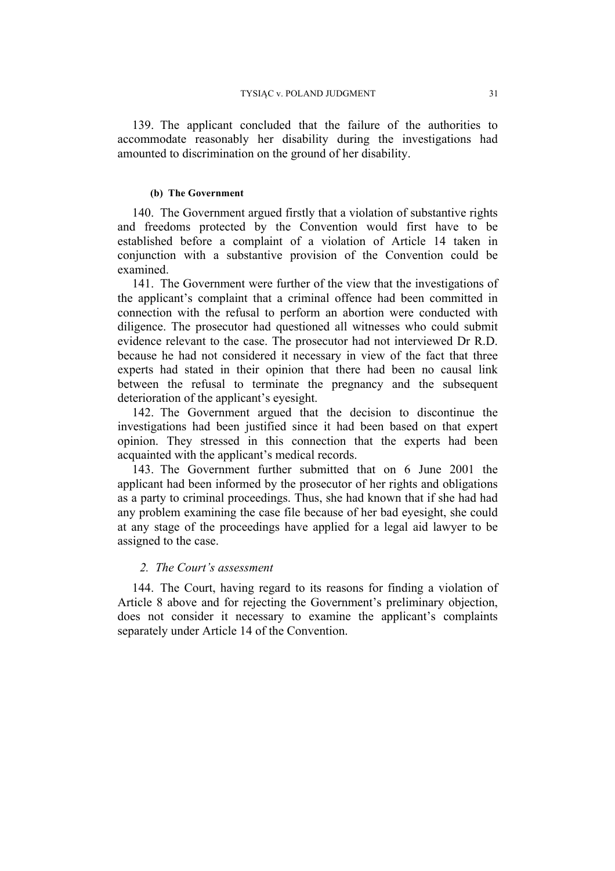139. The applicant concluded that the failure of the authorities to accommodate reasonably her disability during the investigations had amounted to discrimination on the ground of her disability.

#### **(b) The Government**

140. The Government argued firstly that a violation of substantive rights and freedoms protected by the Convention would first have to be established before a complaint of a violation of Article 14 taken in conjunction with a substantive provision of the Convention could be examined.

141. The Government were further of the view that the investigations of the applicant's complaint that a criminal offence had been committed in connection with the refusal to perform an abortion were conducted with diligence. The prosecutor had questioned all witnesses who could submit evidence relevant to the case. The prosecutor had not interviewed Dr R.D. because he had not considered it necessary in view of the fact that three experts had stated in their opinion that there had been no causal link between the refusal to terminate the pregnancy and the subsequent deterioration of the applicant's eyesight.

142. The Government argued that the decision to discontinue the investigations had been justified since it had been based on that expert opinion. They stressed in this connection that the experts had been acquainted with the applicant's medical records.

143. The Government further submitted that on 6 June 2001 the applicant had been informed by the prosecutor of her rights and obligations as a party to criminal proceedings. Thus, she had known that if she had had any problem examining the case file because of her bad eyesight, she could at any stage of the proceedings have applied for a legal aid lawyer to be assigned to the case.

## *2. The Court's assessment*

144.The Court, having regard to its reasons for finding a violation of Article 8 above and for rejecting the Government's preliminary objection, does not consider it necessary to examine the applicant's complaints separately under Article 14 of the Convention.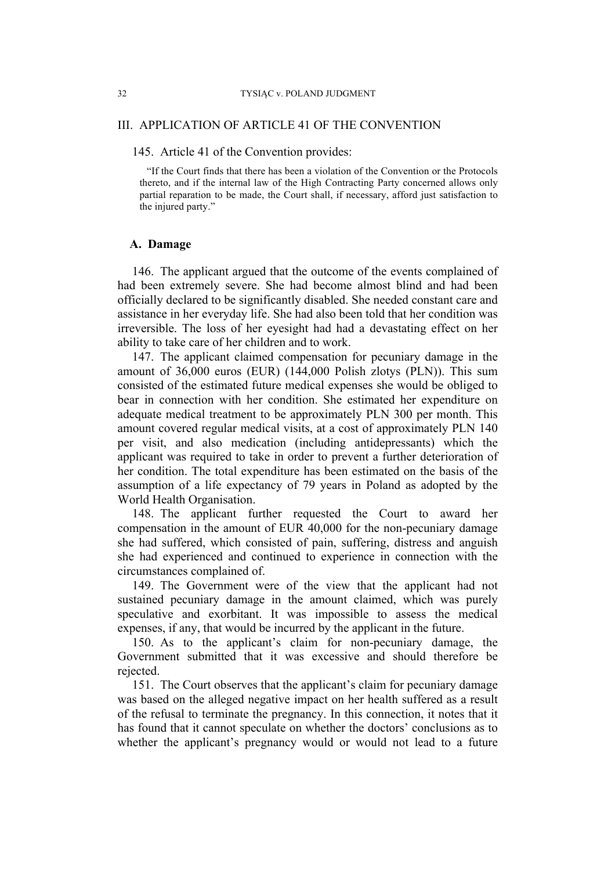#### 32 TYSIĄC v. POLAND JUDGMENT

## III. APPLICATION OF ARTICLE 41 OF THE CONVENTION

#### 145. Article 41 of the Convention provides:

"If the Court finds that there has been a violation of the Convention or the Protocols thereto, and if the internal law of the High Contracting Party concerned allows only partial reparation to be made, the Court shall, if necessary, afford just satisfaction to the injured party."

## **A. Damage**

146. The applicant argued that the outcome of the events complained of had been extremely severe. She had become almost blind and had been officially declared to be significantly disabled. She needed constant care and assistance in her everyday life. She had also been told that her condition was irreversible. The loss of her eyesight had had a devastating effect on her ability to take care of her children and to work.

147. The applicant claimed compensation for pecuniary damage in the amount of 36,000 euros (EUR) (144,000 Polish zlotys (PLN)). This sum consisted of the estimated future medical expenses she would be obliged to bear in connection with her condition. She estimated her expenditure on adequate medical treatment to be approximately PLN 300 per month. This amount covered regular medical visits, at a cost of approximately PLN 140 per visit, and also medication (including antidepressants) which the applicant was required to take in order to prevent a further deterioration of her condition. The total expenditure has been estimated on the basis of the assumption of a life expectancy of 79 years in Poland as adopted by the World Health Organisation.

148. The applicant further requested the Court to award her compensation in the amount of EUR 40,000 for the non-pecuniary damage she had suffered, which consisted of pain, suffering, distress and anguish she had experienced and continued to experience in connection with the circumstances complained of.

149. The Government were of the view that the applicant had not sustained pecuniary damage in the amount claimed, which was purely speculative and exorbitant. It was impossible to assess the medical expenses, if any, that would be incurred by the applicant in the future.

150. As to the applicant's claim for non-pecuniary damage, the Government submitted that it was excessive and should therefore be rejected.

151. The Court observes that the applicant's claim for pecuniary damage was based on the alleged negative impact on her health suffered as a result of the refusal to terminate the pregnancy. In this connection, it notes that it has found that it cannot speculate on whether the doctors' conclusions as to whether the applicant's pregnancy would or would not lead to a future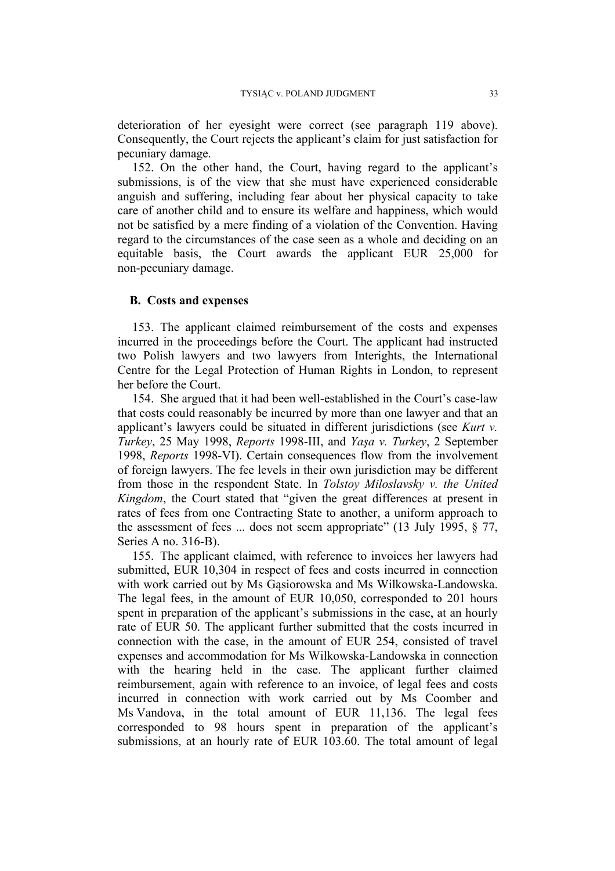deterioration of her eyesight were correct (see paragraph 119 above). Consequently, the Court rejects the applicant's claim for just satisfaction for pecuniary damage.

152. On the other hand, the Court, having regard to the applicant's submissions, is of the view that she must have experienced considerable anguish and suffering, including fear about her physical capacity to take care of another child and to ensure its welfare and happiness, which would not be satisfied by a mere finding of a violation of the Convention. Having regard to the circumstances of the case seen as a whole and deciding on an equitable basis, the Court awards the applicant EUR 25,000 for non-pecuniary damage.

## **B. Costs and expenses**

153. The applicant claimed reimbursement of the costs and expenses incurred in the proceedings before the Court. The applicant had instructed two Polish lawyers and two lawyers from Interights, the International Centre for the Legal Protection of Human Rights in London, to represent her before the Court.

154. She argued that it had been well-established in the Court's case-law that costs could reasonably be incurred by more than one lawyer and that an applicant's lawyers could be situated in different jurisdictions (see *Kurt v. Turkey*, 25 May 1998, *Reports* 1998-III, and *Yaşa v. Turkey*, 2 September 1998, *Reports* 1998-VI). Certain consequences flow from the involvement of foreign lawyers. The fee levels in their own jurisdiction may be different from those in the respondent State. In *Tolstoy Miloslavsky v. the United Kingdom*, the Court stated that "given the great differences at present in rates of fees from one Contracting State to another, a uniform approach to the assessment of fees  $\dots$  does not seem appropriate" (13 July 1995,  $\S$  77, Series A no. 316-B).

155. The applicant claimed, with reference to invoices her lawyers had submitted, EUR 10,304 in respect of fees and costs incurred in connection with work carried out by Ms Gąsiorowska and Ms Wilkowska-Landowska. The legal fees, in the amount of EUR 10,050, corresponded to 201 hours spent in preparation of the applicant's submissions in the case, at an hourly rate of EUR 50. The applicant further submitted that the costs incurred in connection with the case, in the amount of EUR 254, consisted of travel expenses and accommodation for Ms Wilkowska-Landowska in connection with the hearing held in the case. The applicant further claimed reimbursement, again with reference to an invoice, of legal fees and costs incurred in connection with work carried out by Ms Coomber and Ms Vandova, in the total amount of EUR 11,136. The legal fees corresponded to 98 hours spent in preparation of the applicant's submissions, at an hourly rate of EUR 103.60. The total amount of legal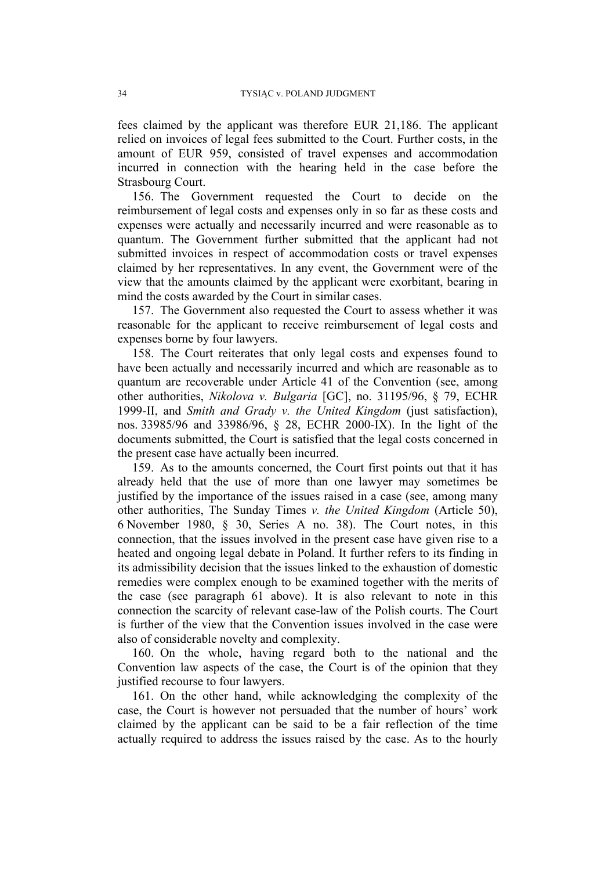fees claimed by the applicant was therefore EUR 21,186. The applicant relied on invoices of legal fees submitted to the Court. Further costs, in the amount of EUR 959, consisted of travel expenses and accommodation incurred in connection with the hearing held in the case before the Strasbourg Court.

156. The Government requested the Court to decide on the reimbursement of legal costs and expenses only in so far as these costs and expenses were actually and necessarily incurred and were reasonable as to quantum. The Government further submitted that the applicant had not submitted invoices in respect of accommodation costs or travel expenses claimed by her representatives. In any event, the Government were of the view that the amounts claimed by the applicant were exorbitant, bearing in mind the costs awarded by the Court in similar cases.

157. The Government also requested the Court to assess whether it was reasonable for the applicant to receive reimbursement of legal costs and expenses borne by four lawyers.

158. The Court reiterates that only legal costs and expenses found to have been actually and necessarily incurred and which are reasonable as to quantum are recoverable under Article 41 of the Convention (see, among other authorities, *Nikolova v. Bulgaria* [GC], no. 31195/96, § 79, ECHR 1999-II, and *Smith and Grady v. the United Kingdom* (just satisfaction), nos. 33985/96 and 33986/96, § 28, ECHR 2000-IX). In the light of the documents submitted, the Court is satisfied that the legal costs concerned in the present case have actually been incurred.

159. As to the amounts concerned, the Court first points out that it has already held that the use of more than one lawyer may sometimes be justified by the importance of the issues raised in a case (see, among many other authorities, The Sunday Times *v. the United Kingdom* (Article 50), 6 November 1980, § 30, Series A no. 38). The Court notes, in this connection, that the issues involved in the present case have given rise to a heated and ongoing legal debate in Poland. It further refers to its finding in its admissibility decision that the issues linked to the exhaustion of domestic remedies were complex enough to be examined together with the merits of the case (see paragraph 61 above). It is also relevant to note in this connection the scarcity of relevant case-law of the Polish courts. The Court is further of the view that the Convention issues involved in the case were also of considerable novelty and complexity.

160. On the whole, having regard both to the national and the Convention law aspects of the case, the Court is of the opinion that they justified recourse to four lawyers.

161. On the other hand, while acknowledging the complexity of the case, the Court is however not persuaded that the number of hours' work claimed by the applicant can be said to be a fair reflection of the time actually required to address the issues raised by the case. As to the hourly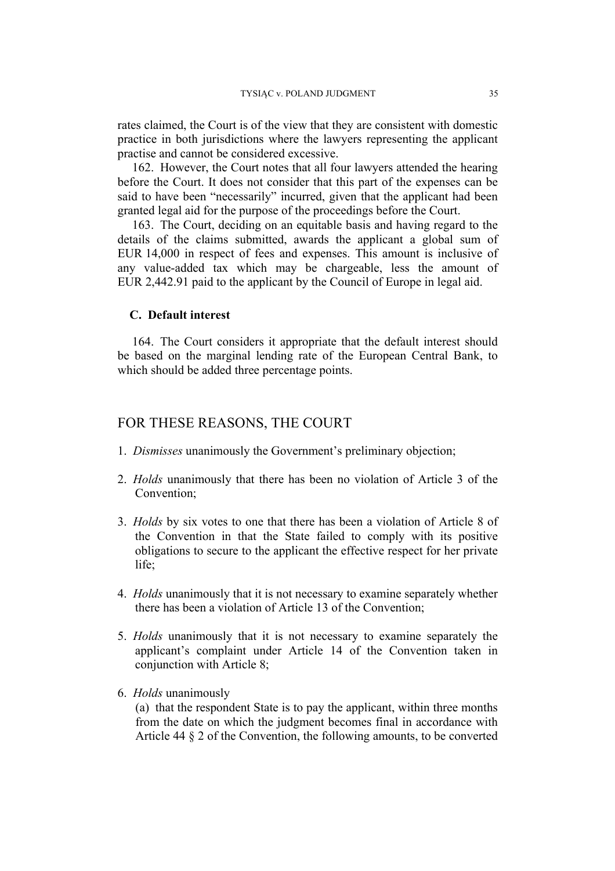rates claimed, the Court is of the view that they are consistent with domestic practice in both jurisdictions where the lawyers representing the applicant practise and cannot be considered excessive.

162. However, the Court notes that all four lawyers attended the hearing before the Court. It does not consider that this part of the expenses can be said to have been "necessarily" incurred, given that the applicant had been granted legal aid for the purpose of the proceedings before the Court.

163. The Court, deciding on an equitable basis and having regard to the details of the claims submitted, awards the applicant a global sum of EUR 14,000 in respect of fees and expenses. This amount is inclusive of any value-added tax which may be chargeable, less the amount of EUR 2,442.91 paid to the applicant by the Council of Europe in legal aid.

## **C. Default interest**

164. The Court considers it appropriate that the default interest should be based on the marginal lending rate of the European Central Bank, to which should be added three percentage points.

# FOR THESE REASONS, THE COURT

- 1. *Dismisses* unanimously the Government's preliminary objection;
- 2. *Holds* unanimously that there has been no violation of Article 3 of the Convention;
- 3. *Holds* by six votes to one that there has been a violation of Article 8 of the Convention in that the State failed to comply with its positive obligations to secure to the applicant the effective respect for her private life;
- 4. *Holds* unanimously that it is not necessary to examine separately whether there has been a violation of Article 13 of the Convention;
- 5. *Holds* unanimously that it is not necessary to examine separately the applicant's complaint under Article 14 of the Convention taken in conjunction with Article 8;
- 6. *Holds* unanimously

(a) that the respondent State is to pay the applicant, within three months from the date on which the judgment becomes final in accordance with Article 44 § 2 of the Convention, the following amounts, to be converted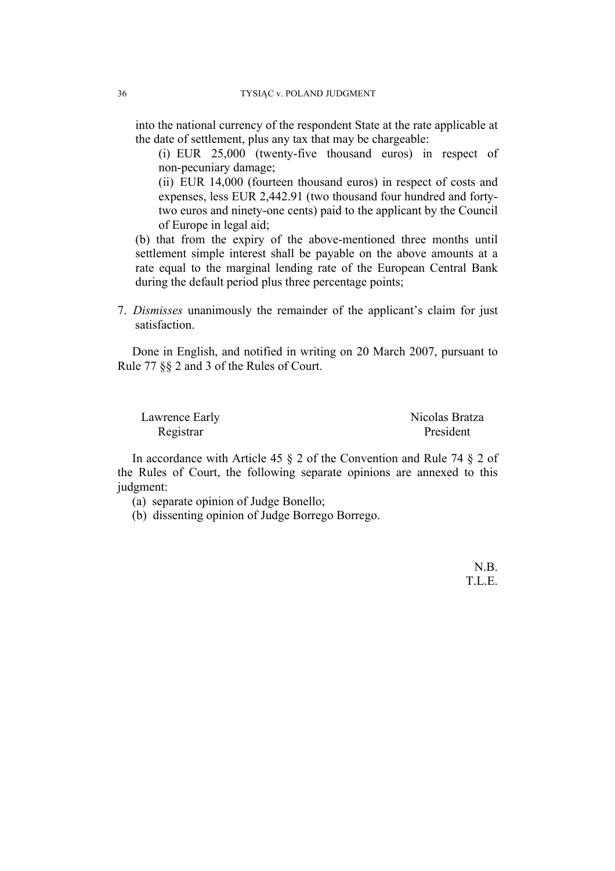into the national currency of the respondent State at the rate applicable at the date of settlement, plus any tax that may be chargeable:

(i) EUR 25,000 (twenty-five thousand euros) in respect of non-pecuniary damage;

(ii) EUR 14,000 (fourteen thousand euros) in respect of costs and expenses, less EUR 2,442.91 (two thousand four hundred and fortytwo euros and ninety-one cents) paid to the applicant by the Council of Europe in legal aid;

(b) that from the expiry of the above-mentioned three months until settlement simple interest shall be payable on the above amounts at a rate equal to the marginal lending rate of the European Central Bank during the default period plus three percentage points;

7. *Dismisses* unanimously the remainder of the applicant's claim for just satisfaction.

Done in English, and notified in writing on 20 March 2007, pursuant to Rule 77 §§ 2 and 3 of the Rules of Court.

| Lawrence Early | Nicolas Bratza |
|----------------|----------------|
| Registrar      | President      |

In accordance with Article 45  $\S$  2 of the Convention and Rule 74  $\S$  2 of the Rules of Court, the following separate opinions are annexed to this judgment:

(a) separate opinion of Judge Bonello;

(b) dissenting opinion of Judge Borrego Borrego.

N.B. T.L.E.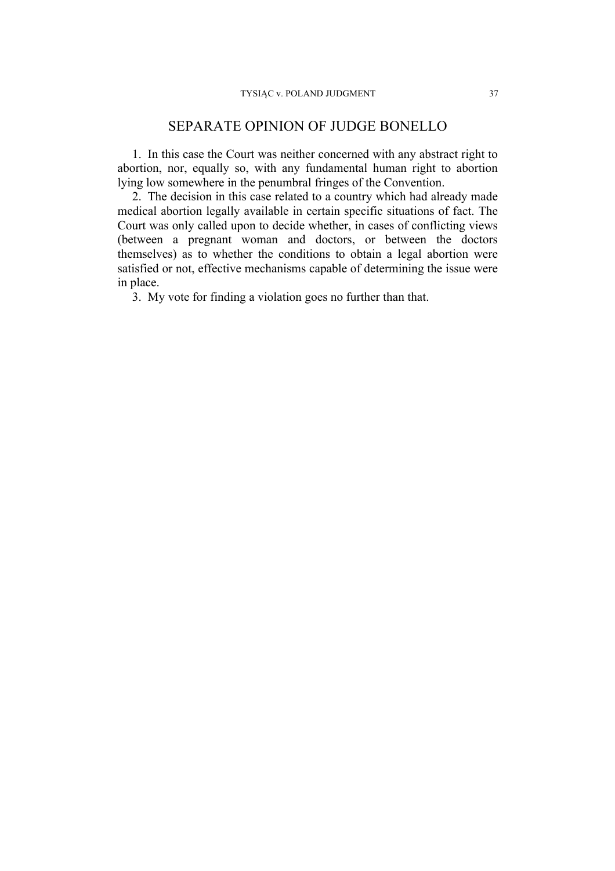# SEPARATE OPINION OF JUDGE BONELLO

1. In this case the Court was neither concerned with any abstract right to abortion, nor, equally so, with any fundamental human right to abortion lying low somewhere in the penumbral fringes of the Convention.

2. The decision in this case related to a country which had already made medical abortion legally available in certain specific situations of fact. The Court was only called upon to decide whether, in cases of conflicting views (between a pregnant woman and doctors, or between the doctors themselves) as to whether the conditions to obtain a legal abortion were satisfied or not, effective mechanisms capable of determining the issue were in place.

3. My vote for finding a violation goes no further than that.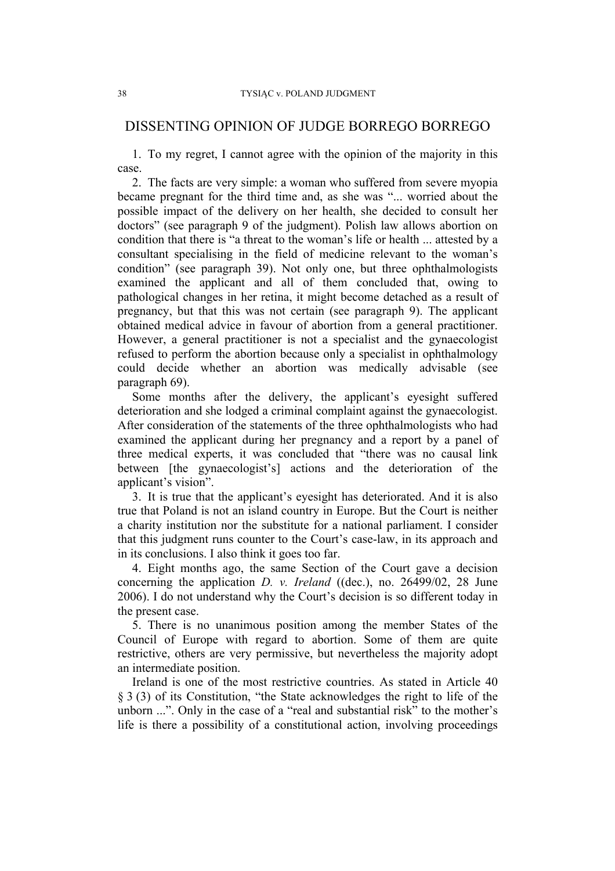# DISSENTING OPINION OF JUDGE BORREGO BORREGO

1. To my regret, I cannot agree with the opinion of the majority in this case.

2. The facts are very simple: a woman who suffered from severe myopia became pregnant for the third time and, as she was "... worried about the possible impact of the delivery on her health, she decided to consult her doctors" (see paragraph 9 of the judgment). Polish law allows abortion on condition that there is "a threat to the woman's life or health ... attested by a consultant specialising in the field of medicine relevant to the woman's condition" (see paragraph 39). Not only one, but three ophthalmologists examined the applicant and all of them concluded that, owing to pathological changes in her retina, it might become detached as a result of pregnancy, but that this was not certain (see paragraph 9). The applicant obtained medical advice in favour of abortion from a general practitioner. However, a general practitioner is not a specialist and the gynaecologist refused to perform the abortion because only a specialist in ophthalmology could decide whether an abortion was medically advisable (see paragraph 69).

Some months after the delivery, the applicant's eyesight suffered deterioration and she lodged a criminal complaint against the gynaecologist. After consideration of the statements of the three ophthalmologists who had examined the applicant during her pregnancy and a report by a panel of three medical experts, it was concluded that "there was no causal link between [the gynaecologist's] actions and the deterioration of the applicant's vision".

3. It is true that the applicant's eyesight has deteriorated. And it is also true that Poland is not an island country in Europe. But the Court is neither a charity institution nor the substitute for a national parliament. I consider that this judgment runs counter to the Court's case-law, in its approach and in its conclusions. I also think it goes too far.

4. Eight months ago, the same Section of the Court gave a decision concerning the application *D. v. Ireland* ((dec.), no. 26499/02, 28 June 2006). I do not understand why the Court's decision is so different today in the present case.

5. There is no unanimous position among the member States of the Council of Europe with regard to abortion. Some of them are quite restrictive, others are very permissive, but nevertheless the majority adopt an intermediate position.

Ireland is one of the most restrictive countries. As stated in Article 40 § 3 (3) of its Constitution, "the State acknowledges the right to life of the unborn ...". Only in the case of a "real and substantial risk" to the mother's life is there a possibility of a constitutional action, involving proceedings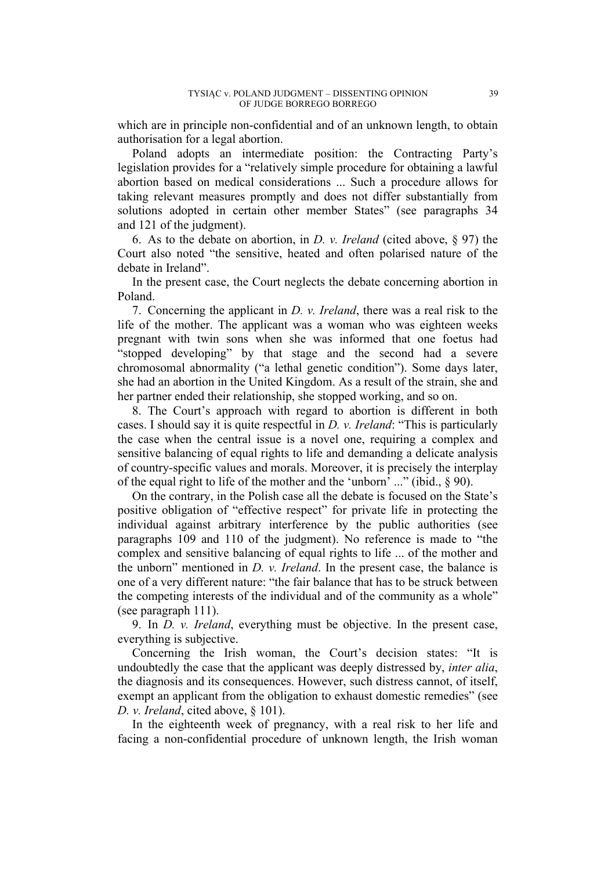which are in principle non-confidential and of an unknown length, to obtain authorisation for a legal abortion.

Poland adopts an intermediate position: the Contracting Party's legislation provides for a "relatively simple procedure for obtaining a lawful abortion based on medical considerations ... Such a procedure allows for taking relevant measures promptly and does not differ substantially from solutions adopted in certain other member States" (see paragraphs 34 and 121 of the judgment).

6. As to the debate on abortion, in *D. v. Ireland* (cited above, § 97) the Court also noted "the sensitive, heated and often polarised nature of the debate in Ireland".

In the present case, the Court neglects the debate concerning abortion in Poland.

7. Concerning the applicant in *D. v. Ireland*, there was a real risk to the life of the mother. The applicant was a woman who was eighteen weeks pregnant with twin sons when she was informed that one foetus had "stopped developing" by that stage and the second had a severe chromosomal abnormality ("a lethal genetic condition"). Some days later, she had an abortion in the United Kingdom. As a result of the strain, she and her partner ended their relationship, she stopped working, and so on.

8. The Court's approach with regard to abortion is different in both cases. I should say it is quite respectful in *D. v. Ireland*: "This is particularly the case when the central issue is a novel one, requiring a complex and sensitive balancing of equal rights to life and demanding a delicate analysis of country-specific values and morals. Moreover, it is precisely the interplay of the equal right to life of the mother and the 'unborn' ..." (ibid., § 90).

On the contrary, in the Polish case all the debate is focused on the State's positive obligation of "effective respect" for private life in protecting the individual against arbitrary interference by the public authorities (see paragraphs 109 and 110 of the judgment). No reference is made to "the complex and sensitive balancing of equal rights to life ... of the mother and the unborn" mentioned in *D. v. Ireland*. In the present case, the balance is one of a very different nature: "the fair balance that has to be struck between the competing interests of the individual and of the community as a whole" (see paragraph 111).

9. In *D. v. Ireland*, everything must be objective. In the present case, everything is subjective.

Concerning the Irish woman, the Court's decision states: "It is undoubtedly the case that the applicant was deeply distressed by, *inter alia*, the diagnosis and its consequences. However, such distress cannot, of itself, exempt an applicant from the obligation to exhaust domestic remedies" (see *D. v. Ireland*, cited above, § 101).

In the eighteenth week of pregnancy, with a real risk to her life and facing a non-confidential procedure of unknown length, the Irish woman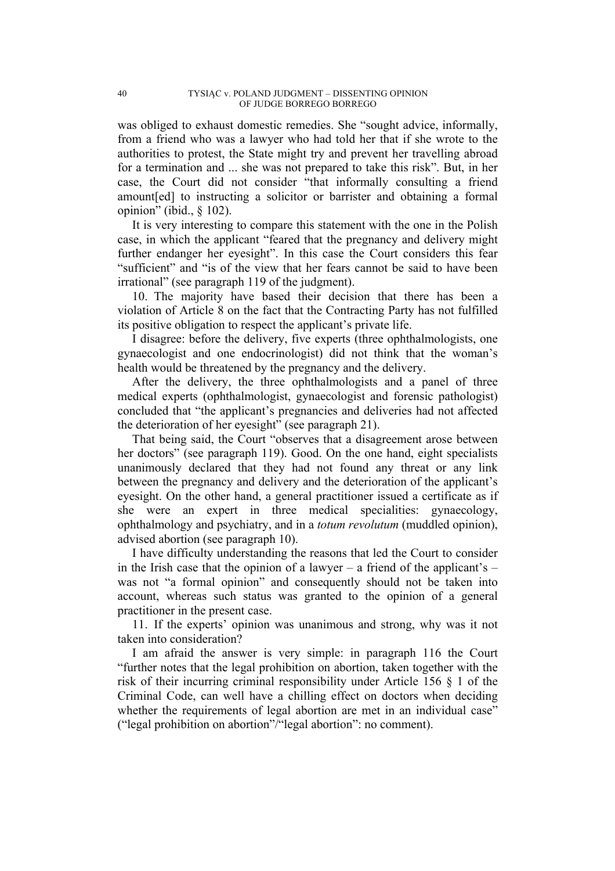was obliged to exhaust domestic remedies. She "sought advice, informally, from a friend who was a lawyer who had told her that if she wrote to the authorities to protest, the State might try and prevent her travelling abroad for a termination and ... she was not prepared to take this risk". But, in her case, the Court did not consider "that informally consulting a friend amount[ed] to instructing a solicitor or barrister and obtaining a formal opinion" (ibid., § 102).

It is very interesting to compare this statement with the one in the Polish case, in which the applicant "feared that the pregnancy and delivery might further endanger her eyesight". In this case the Court considers this fear "sufficient" and "is of the view that her fears cannot be said to have been irrational" (see paragraph 119 of the judgment).

10. The majority have based their decision that there has been a violation of Article 8 on the fact that the Contracting Party has not fulfilled its positive obligation to respect the applicant's private life.

I disagree: before the delivery, five experts (three ophthalmologists, one gynaecologist and one endocrinologist) did not think that the woman's health would be threatened by the pregnancy and the delivery.

After the delivery, the three ophthalmologists and a panel of three medical experts (ophthalmologist, gynaecologist and forensic pathologist) concluded that "the applicant's pregnancies and deliveries had not affected the deterioration of her eyesight" (see paragraph 21).

That being said, the Court "observes that a disagreement arose between her doctors" (see paragraph 119). Good. On the one hand, eight specialists unanimously declared that they had not found any threat or any link between the pregnancy and delivery and the deterioration of the applicant's eyesight. On the other hand, a general practitioner issued a certificate as if she were an expert in three medical specialities: gynaecology, ophthalmology and psychiatry, and in a *totum revolutum* (muddled opinion), advised abortion (see paragraph 10).

I have difficulty understanding the reasons that led the Court to consider in the Irish case that the opinion of a lawyer – a friend of the applicant's – was not "a formal opinion" and consequently should not be taken into account, whereas such status was granted to the opinion of a general practitioner in the present case.

11. If the experts' opinion was unanimous and strong, why was it not taken into consideration?

I am afraid the answer is very simple: in paragraph 116 the Court "further notes that the legal prohibition on abortion, taken together with the risk of their incurring criminal responsibility under Article 156 § 1 of the Criminal Code, can well have a chilling effect on doctors when deciding whether the requirements of legal abortion are met in an individual case" ("legal prohibition on abortion"/"legal abortion": no comment).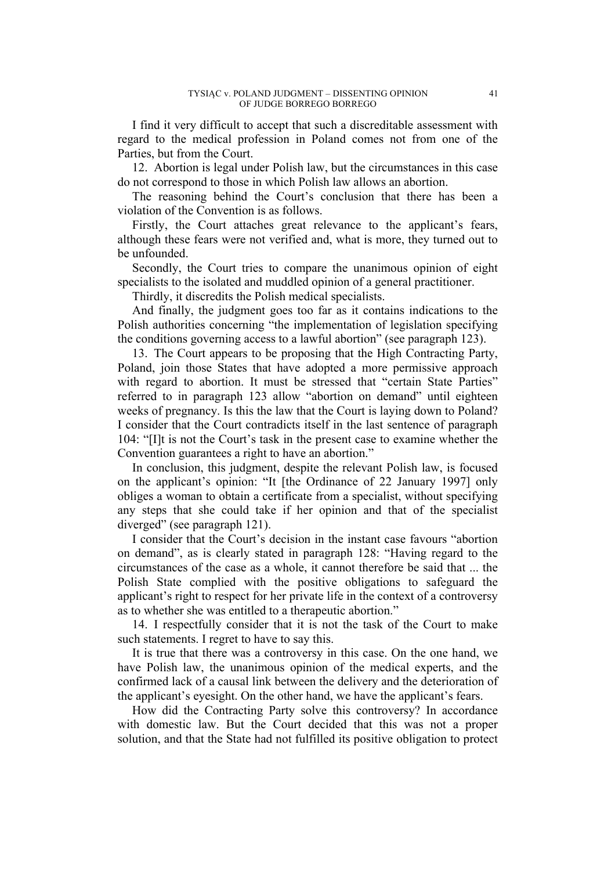I find it very difficult to accept that such a discreditable assessment with regard to the medical profession in Poland comes not from one of the Parties, but from the Court.

12. Abortion is legal under Polish law, but the circumstances in this case do not correspond to those in which Polish law allows an abortion.

The reasoning behind the Court's conclusion that there has been a violation of the Convention is as follows.

Firstly, the Court attaches great relevance to the applicant's fears, although these fears were not verified and, what is more, they turned out to be unfounded.

Secondly, the Court tries to compare the unanimous opinion of eight specialists to the isolated and muddled opinion of a general practitioner.

Thirdly, it discredits the Polish medical specialists.

And finally, the judgment goes too far as it contains indications to the Polish authorities concerning "the implementation of legislation specifying the conditions governing access to a lawful abortion" (see paragraph 123).

13. The Court appears to be proposing that the High Contracting Party, Poland, join those States that have adopted a more permissive approach with regard to abortion. It must be stressed that "certain State Parties" referred to in paragraph 123 allow "abortion on demand" until eighteen weeks of pregnancy. Is this the law that the Court is laying down to Poland? I consider that the Court contradicts itself in the last sentence of paragraph 104: "[I]t is not the Court's task in the present case to examine whether the Convention guarantees a right to have an abortion."

In conclusion, this judgment, despite the relevant Polish law, is focused on the applicant's opinion: "It [the Ordinance of 22 January 1997] only obliges a woman to obtain a certificate from a specialist, without specifying any steps that she could take if her opinion and that of the specialist diverged" (see paragraph 121).

I consider that the Court's decision in the instant case favours "abortion on demand", as is clearly stated in paragraph 128: "Having regard to the circumstances of the case as a whole, it cannot therefore be said that ... the Polish State complied with the positive obligations to safeguard the applicant's right to respect for her private life in the context of a controversy as to whether she was entitled to a therapeutic abortion."

14. I respectfully consider that it is not the task of the Court to make such statements. I regret to have to say this.

It is true that there was a controversy in this case. On the one hand, we have Polish law, the unanimous opinion of the medical experts, and the confirmed lack of a causal link between the delivery and the deterioration of the applicant's eyesight. On the other hand, we have the applicant's fears.

How did the Contracting Party solve this controversy? In accordance with domestic law. But the Court decided that this was not a proper solution, and that the State had not fulfilled its positive obligation to protect